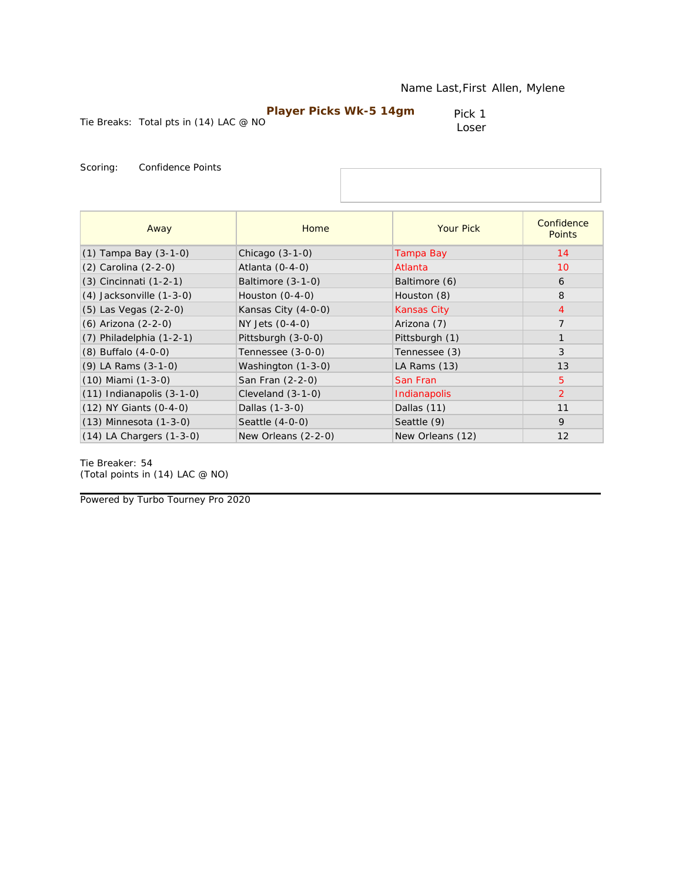| <b>Player Picks Wk-5 14gm</b> |  |
|-------------------------------|--|
|-------------------------------|--|

Tie Breaks: Total pts in (14) LAC @ NO

Pick 1 Loser

Scoring: Confidence Points

| Away                          | Home                | <b>Your Pick</b>   | Confidence<br><b>Points</b> |
|-------------------------------|---------------------|--------------------|-----------------------------|
| $(1)$ Tampa Bay $(3-1-0)$     | Chicago $(3-1-0)$   | Tampa Bay          | 14                          |
| (2) Carolina (2-2-0)          | Atlanta $(0-4-0)$   | Atlanta            | 10                          |
| (3) Cincinnati (1-2-1)        | Baltimore (3-1-0)   | Baltimore (6)      | 6                           |
| $(4)$ Jacksonville $(1-3-0)$  | Houston $(0-4-0)$   | Houston (8)        | 8                           |
| $(5)$ Las Vegas $(2-2-0)$     | Kansas City (4-0-0) | <b>Kansas City</b> | $\overline{4}$              |
| (6) Arizona (2-2-0)           | NY Jets (0-4-0)     | Arizona (7)        | $\overline{7}$              |
| $(7)$ Philadelphia $(1-2-1)$  | Pittsburgh (3-0-0)  | Pittsburgh (1)     |                             |
| $(8)$ Buffalo $(4-0-0)$       | Tennessee (3-0-0)   | Tennessee (3)      | 3                           |
| (9) LA Rams (3-1-0)           | Washington (1-3-0)  | LA Rams (13)       | 13                          |
| $(10)$ Miami $(1-3-0)$        | San Fran (2-2-0)    | San Fran           | 5                           |
| $(11)$ Indianapolis $(3-1-0)$ | Cleveland $(3-1-0)$ | Indianapolis       | 2                           |
| (12) NY Giants (0-4-0)        | Dallas (1-3-0)      | Dallas (11)        | 11                          |
| $(13)$ Minnesota $(1-3-0)$    | Seattle (4-0-0)     | Seattle (9)        | 9                           |
| $(14)$ LA Chargers $(1-3-0)$  | New Orleans (2-2-0) | New Orleans (12)   | 12                          |

Tie Breaker: 54 *(Total points in (14) LAC @ NO)*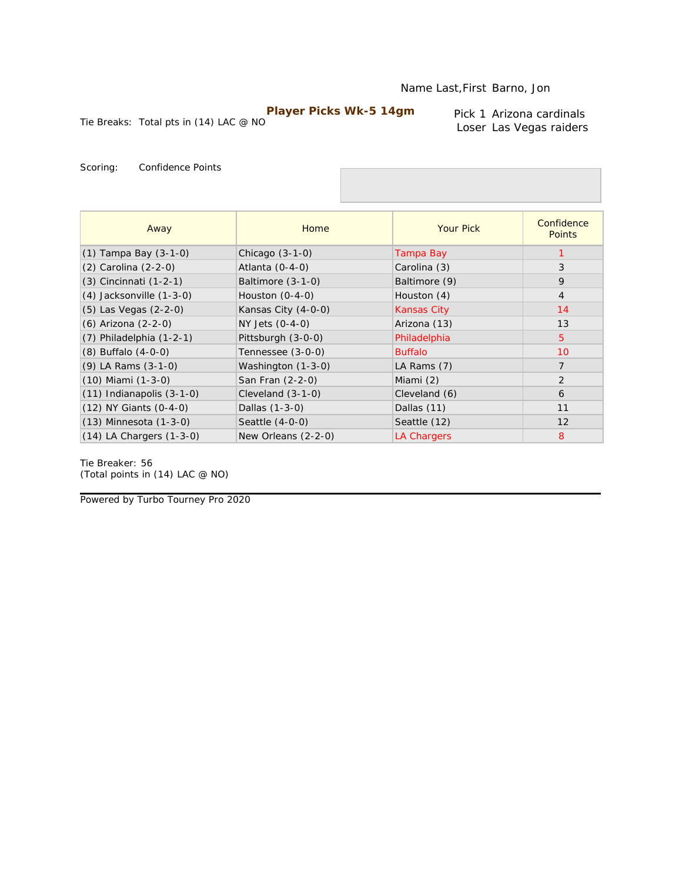Tie Breaks: Total pts in (14) LAC @ NO

Pick 1 Arizona cardinals Loser Las Vegas raiders

Scoring: Confidence Points

| Away                          | Home                | <b>Your Pick</b>   | Confidence<br><b>Points</b> |
|-------------------------------|---------------------|--------------------|-----------------------------|
| $(1)$ Tampa Bay $(3-1-0)$     | Chicago $(3-1-0)$   | Tampa Bay          |                             |
| (2) Carolina (2-2-0)          | Atlanta (0-4-0)     | Carolina (3)       | 3                           |
| (3) Cincinnati (1-2-1)        | Baltimore (3-1-0)   | Baltimore (9)      | 9                           |
| $(4)$ Jacksonville $(1-3-0)$  | Houston $(0-4-0)$   | Houston (4)        | $\overline{4}$              |
| $(5)$ Las Vegas $(2-2-0)$     | Kansas City (4-0-0) | <b>Kansas City</b> | 14                          |
| (6) Arizona (2-2-0)           | NY Jets (0-4-0)     | Arizona (13)       | 13                          |
| $(7)$ Philadelphia $(1-2-1)$  | Pittsburgh (3-0-0)  | Philadelphia       | $\overline{5}$              |
| $(8)$ Buffalo $(4-0-0)$       | Tennessee (3-0-0)   | <b>Buffalo</b>     | 10                          |
| $(9)$ LA Rams $(3-1-0)$       | Washington (1-3-0)  | LA Rams (7)        | $\overline{7}$              |
| $(10)$ Miami $(1-3-0)$        | San Fran (2-2-0)    | Miami (2)          | $\overline{2}$              |
| $(11)$ Indianapolis $(3-1-0)$ | Cleveland $(3-1-0)$ | Cleveland (6)      | 6                           |
| (12) NY Giants (0-4-0)        | Dallas (1-3-0)      | Dallas (11)        | 11                          |
| $(13)$ Minnesota $(1-3-0)$    | Seattle (4-0-0)     | Seattle (12)       | 12                          |
| $(14)$ LA Chargers $(1-3-0)$  | New Orleans (2-2-0) | LA Chargers        | 8                           |

Tie Breaker: 56 *(Total points in (14) LAC @ NO)*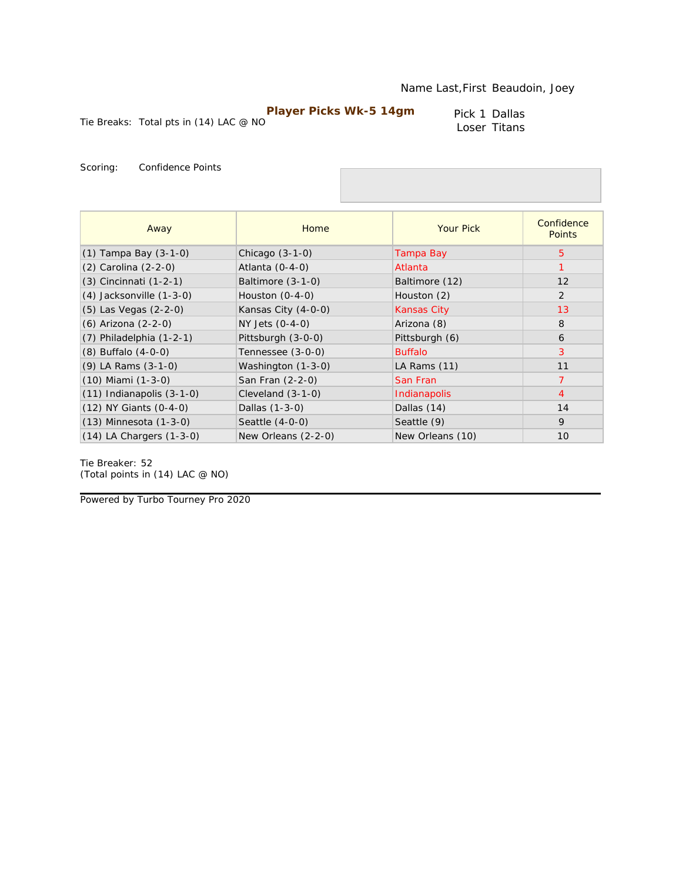Pick 1 Dallas Loser Titans

Tie Breaks: Total pts in (14) LAC @ NO

Scoring: Confidence Points

| Away                          | Home                | <b>Your Pick</b>   | Confidence<br><b>Points</b> |
|-------------------------------|---------------------|--------------------|-----------------------------|
| (1) Tampa Bay (3-1-0)         | Chicago $(3-1-0)$   | Tampa Bay          | 5                           |
| $(2)$ Carolina $(2-2-0)$      | Atlanta $(0-4-0)$   | Atlanta            |                             |
| $(3)$ Cincinnati $(1-2-1)$    | Baltimore $(3-1-0)$ | Baltimore (12)     | 12                          |
| $(4)$ Jacksonville $(1-3-0)$  | Houston $(0-4-0)$   | Houston (2)        | $\overline{2}$              |
| (5) Las Vegas (2-2-0)         | Kansas City (4-0-0) | <b>Kansas City</b> | 13                          |
| (6) Arizona (2-2-0)           | NY Jets (0-4-0)     | Arizona (8)        | 8                           |
| $(7)$ Philadelphia $(1-2-1)$  | Pittsburgh (3-0-0)  | Pittsburgh (6)     | 6                           |
| $(8)$ Buffalo $(4-0-0)$       | Tennessee (3-0-0)   | <b>Buffalo</b>     | 3                           |
| $(9)$ LA Rams $(3-1-0)$       | Washington (1-3-0)  | LA Rams (11)       | 11                          |
| $(10)$ Miami $(1-3-0)$        | San Fran (2-2-0)    | San Fran           | 7                           |
| $(11)$ Indianapolis $(3-1-0)$ | Cleveland $(3-1-0)$ | Indianapolis       | $\overline{4}$              |
| (12) NY Giants (0-4-0)        | Dallas (1-3-0)      | Dallas (14)        | 14                          |
| $(13)$ Minnesota $(1-3-0)$    | Seattle (4-0-0)     | Seattle (9)        | 9                           |
| $(14)$ LA Chargers $(1-3-0)$  | New Orleans (2-2-0) | New Orleans (10)   | 10                          |

Tie Breaker: 52 *(Total points in (14) LAC @ NO)*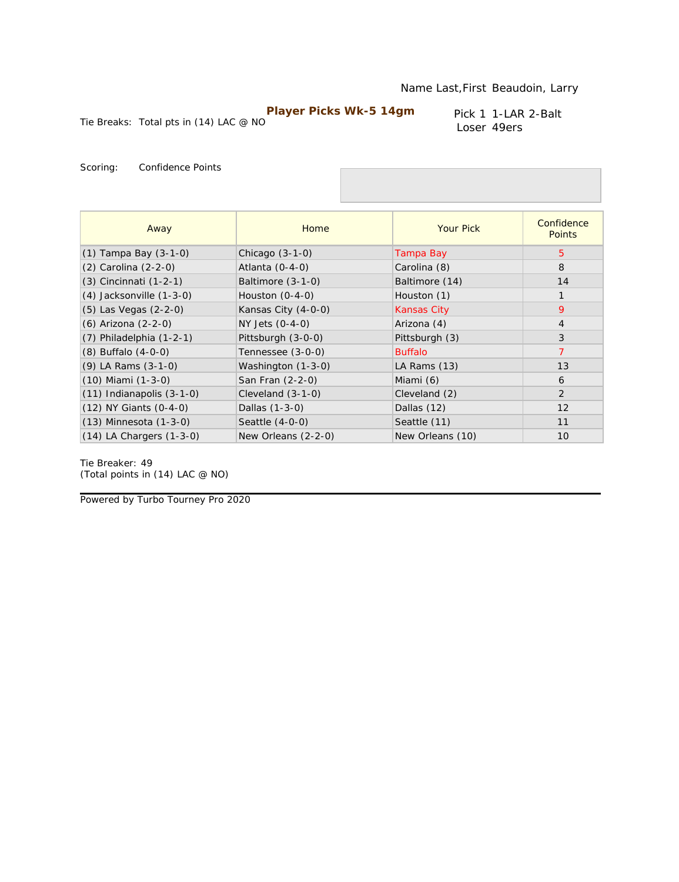Tie Breaks: Total pts in (14) LAC @ NO

Pick 1 1-LAR 2-Balt Loser 49ers

Scoring: Confidence Points

| Away                          | <b>Home</b>         | <b>Your Pick</b>   | Confidence<br><b>Points</b> |
|-------------------------------|---------------------|--------------------|-----------------------------|
| $(1)$ Tampa Bay $(3-1-0)$     | Chicago $(3-1-0)$   | Tampa Bay          | $5^{\circ}$                 |
| (2) Carolina (2-2-0)          | Atlanta $(0-4-0)$   | Carolina (8)       | 8                           |
| $(3)$ Cincinnati $(1-2-1)$    | Baltimore (3-1-0)   | Baltimore (14)     | 14                          |
| $(4)$ Jacksonville $(1-3-0)$  | Houston $(0-4-0)$   | Houston (1)        | $\mathbf{1}$                |
| (5) Las Vegas (2-2-0)         | Kansas City (4-0-0) | <b>Kansas City</b> | 9                           |
| (6) Arizona (2-2-0)           | NY Jets (0-4-0)     | Arizona (4)        | $\overline{4}$              |
| $(7)$ Philadelphia $(1-2-1)$  | Pittsburgh (3-0-0)  | Pittsburgh (3)     | 3                           |
| $(8)$ Buffalo $(4-0-0)$       | Tennessee (3-0-0)   | <b>Buffalo</b>     | $\overline{7}$              |
| $(9)$ LA Rams $(3-1-0)$       | Washington (1-3-0)  | LA Rams (13)       | 13                          |
| $(10)$ Miami $(1-3-0)$        | San Fran (2-2-0)    | Miami (6)          | 6                           |
| $(11)$ Indianapolis $(3-1-0)$ | Cleveland $(3-1-0)$ | Cleveland (2)      | 2                           |
| (12) NY Giants (0-4-0)        | Dallas (1-3-0)      | Dallas (12)        | 12                          |
| $(13)$ Minnesota $(1-3-0)$    | Seattle $(4-0-0)$   | Seattle (11)       | 11                          |
| $(14)$ LA Chargers $(1-3-0)$  | New Orleans (2-2-0) | New Orleans (10)   | 10                          |

Tie Breaker: 49 *(Total points in (14) LAC @ NO)*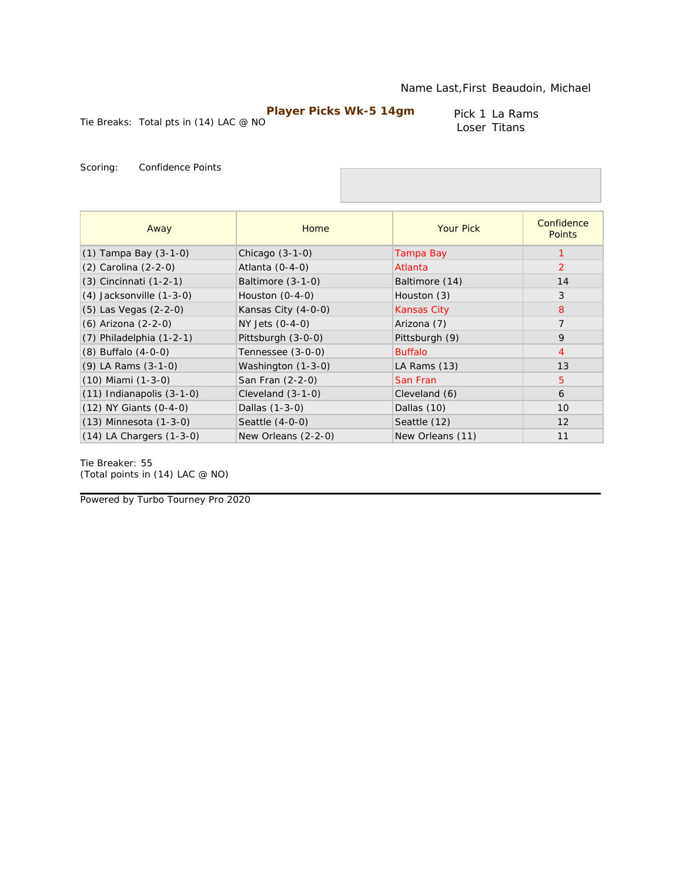Pick 1 La Rams Loser Titans

Tie Breaks: Total pts in (14) LAC @ NO

Scoring: Confidence Points

| Away                          | Home                | <b>Your Pick</b>   | Confidence<br><b>Points</b> |
|-------------------------------|---------------------|--------------------|-----------------------------|
| (1) Tampa Bay (3-1-0)         | Chicago $(3-1-0)$   | Tampa Bay          | 1                           |
| (2) Carolina (2-2-0)          | Atlanta (0-4-0)     | Atlanta            | 2                           |
| $(3)$ Cincinnati $(1-2-1)$    | Baltimore $(3-1-0)$ | Baltimore (14)     | 14                          |
| $(4)$ Jacksonville $(1-3-0)$  | Houston $(0-4-0)$   | Houston (3)        | 3                           |
| $(5)$ Las Vegas $(2-2-0)$     | Kansas City (4-0-0) | <b>Kansas City</b> | 8                           |
| (6) Arizona (2-2-0)           | NY Jets (0-4-0)     | Arizona (7)        | $\overline{7}$              |
| $(7)$ Philadelphia $(1-2-1)$  | Pittsburgh (3-0-0)  | Pittsburgh (9)     | 9                           |
| $(8)$ Buffalo $(4-0-0)$       | Tennessee (3-0-0)   | <b>Buffalo</b>     | $\overline{4}$              |
| (9) LA Rams (3-1-0)           | Washington (1-3-0)  | LA Rams (13)       | 13                          |
| $(10)$ Miami $(1-3-0)$        | San Fran (2-2-0)    | San Fran           | 5                           |
| $(11)$ Indianapolis $(3-1-0)$ | Cleveland (3-1-0)   | Cleveland (6)      | 6                           |
| $(12)$ NY Giants $(0-4-0)$    | Dallas (1-3-0)      | Dallas (10)        | 10                          |
| $(13)$ Minnesota $(1-3-0)$    | Seattle (4-0-0)     | Seattle (12)       | 12                          |
| $(14)$ LA Chargers $(1-3-0)$  | New Orleans (2-2-0) | New Orleans (11)   | 11                          |

Tie Breaker: 55 *(Total points in (14) LAC @ NO)*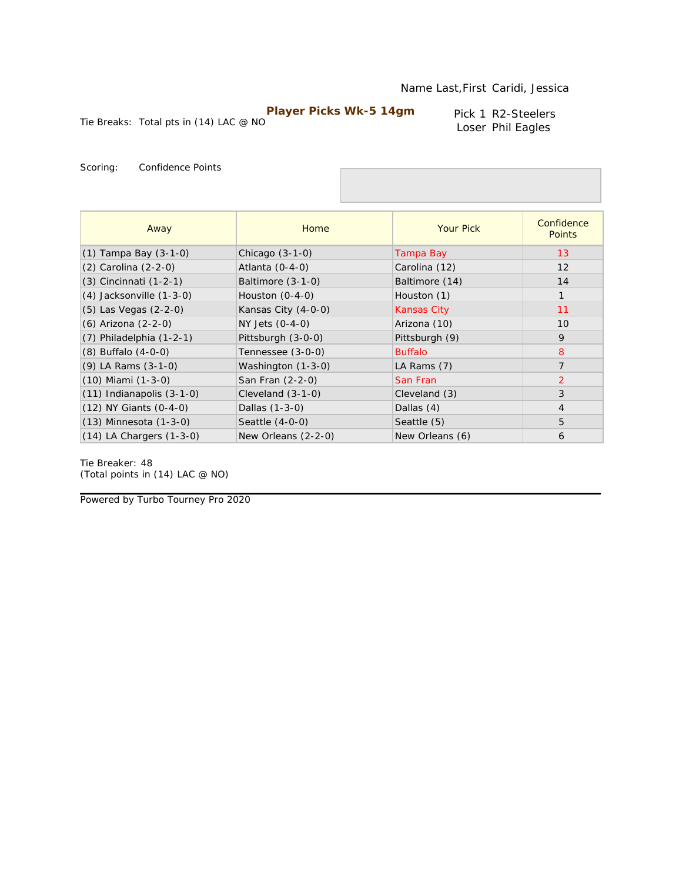Tie Breaks: Total pts in (14) LAC @ NO **Player Picks Wk-5 14gm**

Pick 1 R2-Steelers Loser Phil Eagles

Scoring: Confidence Points

| Away                          | Home                | <b>Your Pick</b>   | Confidence<br><b>Points</b> |
|-------------------------------|---------------------|--------------------|-----------------------------|
| $(1)$ Tampa Bay $(3-1-0)$     | Chicago $(3-1-0)$   | Tampa Bay          | 13                          |
| (2) Carolina (2-2-0)          | Atlanta (0-4-0)     | Carolina (12)      | 12                          |
| $(3)$ Cincinnati $(1-2-1)$    | Baltimore $(3-1-0)$ | Baltimore (14)     | 14                          |
| $(4)$ Jacksonville $(1-3-0)$  | Houston $(0-4-0)$   | Houston (1)        | $\mathbf{1}$                |
| (5) Las Vegas (2-2-0)         | Kansas City (4-0-0) | <b>Kansas City</b> | 11                          |
| (6) Arizona (2-2-0)           | NY Jets (0-4-0)     | Arizona (10)       | 10                          |
| $(7)$ Philadelphia $(1-2-1)$  | Pittsburgh (3-0-0)  | Pittsburgh (9)     | 9                           |
| $(8)$ Buffalo $(4-0-0)$       | Tennessee (3-0-0)   | <b>Buffalo</b>     | 8                           |
| $(9)$ LA Rams $(3-1-0)$       | Washington (1-3-0)  | LA Rams (7)        | $\overline{7}$              |
| $(10)$ Miami $(1-3-0)$        | San Fran (2-2-0)    | San Fran           | $\overline{2}$              |
| $(11)$ Indianapolis $(3-1-0)$ | Cleveland $(3-1-0)$ | Cleveland (3)      | 3                           |
| $(12)$ NY Giants $(0-4-0)$    | Dallas (1-3-0)      | Dallas (4)         | $\overline{4}$              |
| $(13)$ Minnesota $(1-3-0)$    | Seattle (4-0-0)     | Seattle (5)        | 5                           |
| $(14)$ LA Chargers $(1-3-0)$  | New Orleans (2-2-0) | New Orleans (6)    | 6                           |

Tie Breaker: 48 *(Total points in (14) LAC @ NO)*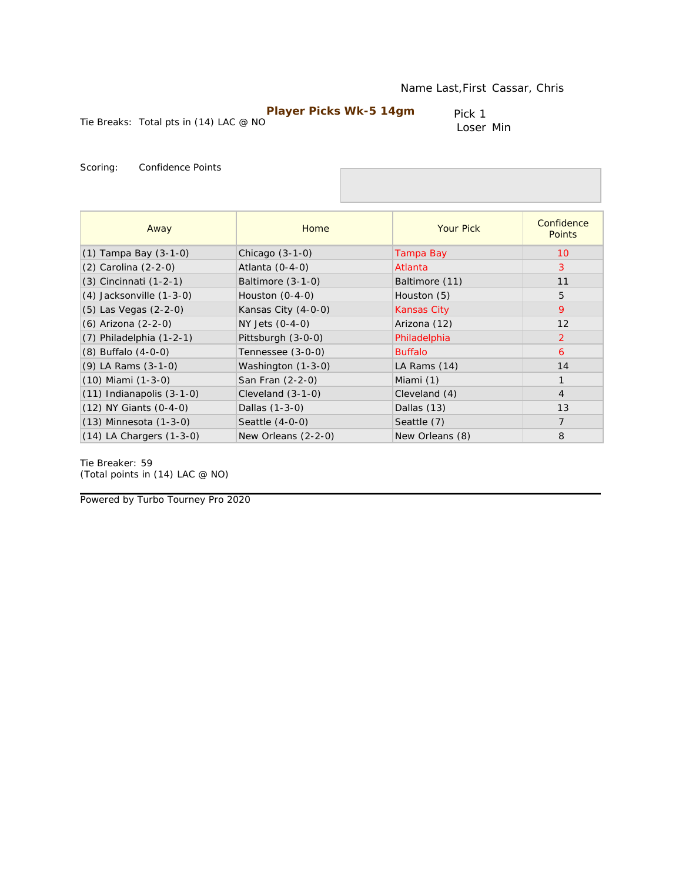Tie Breaks: Total pts in (14) LAC @ NO

Pick 1 Loser Min

Scoring: Confidence Points

| Away                          | Home                | <b>Your Pick</b>   | Confidence<br><b>Points</b> |
|-------------------------------|---------------------|--------------------|-----------------------------|
| $(1)$ Tampa Bay $(3-1-0)$     | Chicago $(3-1-0)$   | Tampa Bay          | 10                          |
| (2) Carolina (2-2-0)          | Atlanta (0-4-0)     | Atlanta            | 3                           |
| (3) Cincinnati (1-2-1)        | Baltimore $(3-1-0)$ | Baltimore (11)     | 11                          |
| $(4)$ Jacksonville $(1-3-0)$  | Houston $(0-4-0)$   | Houston (5)        | 5                           |
| (5) Las Vegas (2-2-0)         | Kansas City (4-0-0) | <b>Kansas City</b> | 9                           |
| (6) Arizona (2-2-0)           | NY Jets (0-4-0)     | Arizona (12)       | 12                          |
| $(7)$ Philadelphia $(1-2-1)$  | Pittsburgh (3-0-0)  | Philadelphia       | $\overline{2}$              |
| $(8)$ Buffalo $(4-0-0)$       | Tennessee (3-0-0)   | <b>Buffalo</b>     | 6                           |
| $(9)$ LA Rams $(3-1-0)$       | Washington (1-3-0)  | LA Rams (14)       | 14                          |
| $(10)$ Miami $(1-3-0)$        | San Fran (2-2-0)    | Miami (1)          |                             |
| $(11)$ Indianapolis $(3-1-0)$ | Cleveland (3-1-0)   | Cleveland (4)      | $\overline{4}$              |
| (12) NY Giants (0-4-0)        | Dallas (1-3-0)      | Dallas (13)        | 13                          |
| $(13)$ Minnesota $(1-3-0)$    | Seattle $(4-0-0)$   | Seattle (7)        | $\overline{7}$              |
| $(14)$ LA Chargers $(1-3-0)$  | New Orleans (2-2-0) | New Orleans (8)    | 8                           |

Tie Breaker: 59 *(Total points in (14) LAC @ NO)*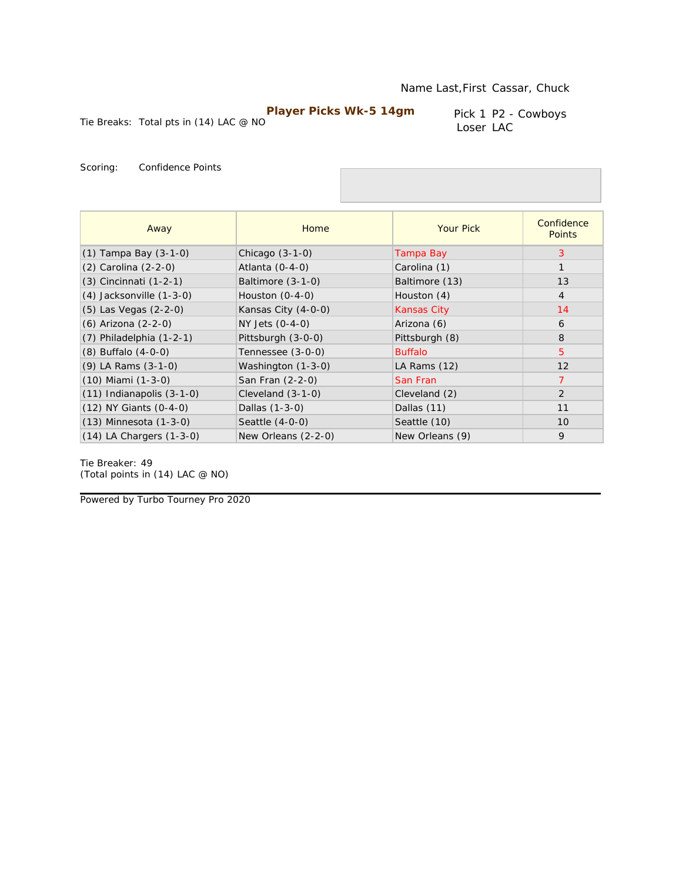Tie Breaks: Total pts in (14) LAC @ NO

Pick 1 P2 - Cowboys Loser LAC

Scoring: Confidence Points

| Away                          | Home                | <b>Your Pick</b>   | Confidence<br><b>Points</b> |
|-------------------------------|---------------------|--------------------|-----------------------------|
| $(1)$ Tampa Bay $(3-1-0)$     | Chicago $(3-1-0)$   | Tampa Bay          | 3                           |
| (2) Carolina (2-2-0)          | Atlanta $(0-4-0)$   | Carolina (1)       | $\mathbf{1}$                |
| (3) Cincinnati (1-2-1)        | Baltimore (3-1-0)   | Baltimore (13)     | 13                          |
| $(4)$ Jacksonville $(1-3-0)$  | Houston $(0-4-0)$   | Houston (4)        | $\overline{4}$              |
| (5) Las Vegas (2-2-0)         | Kansas City (4-0-0) | <b>Kansas City</b> | 14                          |
| (6) Arizona (2-2-0)           | NY Jets (0-4-0)     | Arizona (6)        | 6                           |
| $(7)$ Philadelphia $(1-2-1)$  | Pittsburgh (3-0-0)  | Pittsburgh (8)     | 8                           |
| $(8)$ Buffalo $(4-0-0)$       | Tennessee (3-0-0)   | <b>Buffalo</b>     | $\overline{5}$              |
| $(9)$ LA Rams $(3-1-0)$       | Washington (1-3-0)  | LA Rams (12)       | 12                          |
| $(10)$ Miami $(1-3-0)$        | San Fran (2-2-0)    | San Fran           | $\overline{7}$              |
| $(11)$ Indianapolis $(3-1-0)$ | Cleveland $(3-1-0)$ | Cleveland (2)      | 2                           |
| $(12)$ NY Giants $(0-4-0)$    | Dallas (1-3-0)      | Dallas (11)        | 11                          |
| $(13)$ Minnesota $(1-3-0)$    | Seattle $(4-0-0)$   | Seattle (10)       | 10                          |
| $(14)$ LA Chargers $(1-3-0)$  | New Orleans (2-2-0) | New Orleans (9)    | 9                           |

Tie Breaker: 49 *(Total points in (14) LAC @ NO)*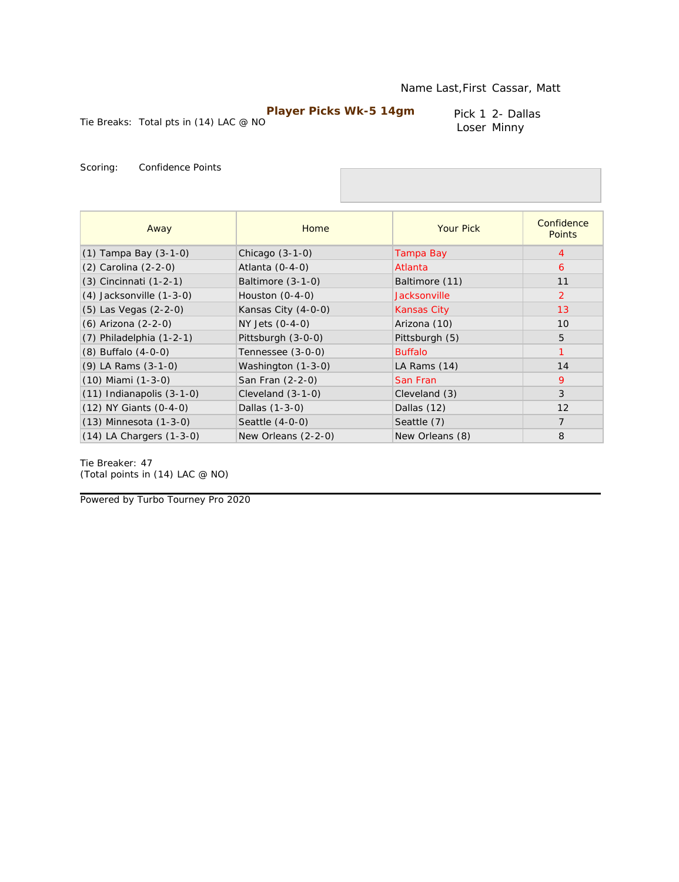Pick 1 2- Dallas Loser Minny

Tie Breaks: Total pts in (14) LAC @ NO

Scoring: Confidence Points

| Away                          | Home                | <b>Your Pick</b>    | Confidence<br><b>Points</b> |
|-------------------------------|---------------------|---------------------|-----------------------------|
| $(1)$ Tampa Bay $(3-1-0)$     | Chicago $(3-1-0)$   | Tampa Bay           | $\overline{4}$              |
| (2) Carolina (2-2-0)          | Atlanta (0-4-0)     | Atlanta             | 6                           |
| $(3)$ Cincinnati $(1-2-1)$    | Baltimore $(3-1-0)$ | Baltimore (11)      | 11                          |
| $(4)$ Jacksonville $(1-3-0)$  | Houston $(0-4-0)$   | <b>Jacksonville</b> | $\overline{2}$              |
| $(5)$ Las Vegas $(2-2-0)$     | Kansas City (4-0-0) | <b>Kansas City</b>  | 13                          |
| (6) Arizona (2-2-0)           | NY Jets (0-4-0)     | Arizona (10)        | 10                          |
| (7) Philadelphia (1-2-1)      | Pittsburgh (3-0-0)  | Pittsburgh (5)      | 5                           |
| $(8)$ Buffalo $(4-0-0)$       | Tennessee (3-0-0)   | <b>Buffalo</b>      | $\overline{1}$              |
| $(9)$ LA Rams $(3-1-0)$       | Washington (1-3-0)  | LA Rams (14)        | 14                          |
| $(10)$ Miami $(1-3-0)$        | San Fran (2-2-0)    | San Fran            | 9                           |
| $(11)$ Indianapolis $(3-1-0)$ | Cleveland $(3-1-0)$ | Cleveland (3)       | 3                           |
| $(12)$ NY Giants $(0-4-0)$    | Dallas (1-3-0)      | Dallas (12)         | 12                          |
| (13) Minnesota (1-3-0)        | Seattle (4-0-0)     | Seattle (7)         | $\overline{7}$              |
| $(14)$ LA Chargers $(1-3-0)$  | New Orleans (2-2-0) | New Orleans (8)     | 8                           |

Tie Breaker: 47 *(Total points in (14) LAC @ NO)*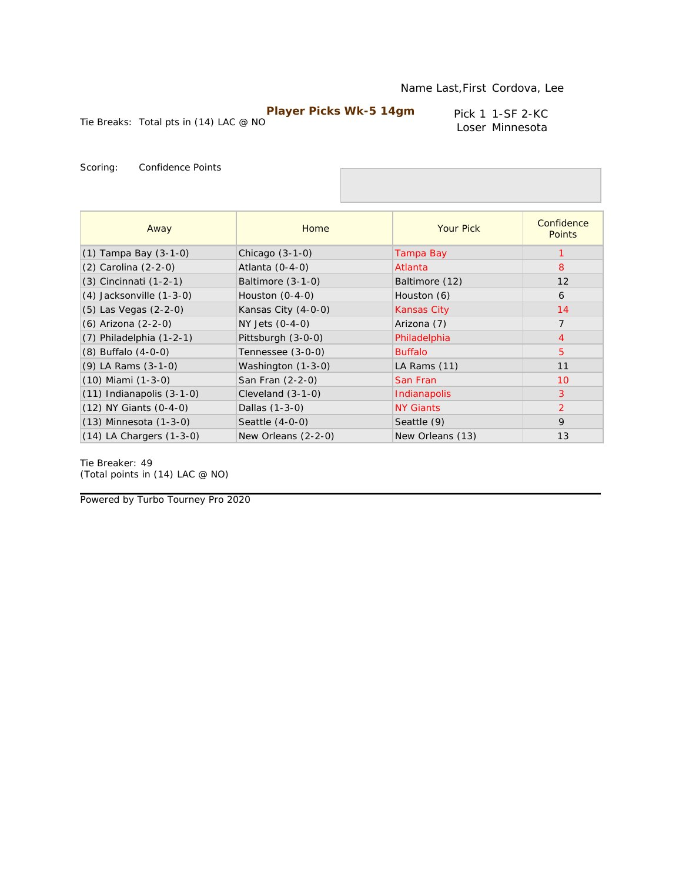Tie Breaks: Total pts in (14) LAC @ NO

Pick 1 1-SF 2-KC Loser Minnesota

Scoring: Confidence Points

| Away                          | Home                | <b>Your Pick</b>   | Confidence<br><b>Points</b> |
|-------------------------------|---------------------|--------------------|-----------------------------|
| $(1)$ Tampa Bay $(3-1-0)$     | Chicago $(3-1-0)$   | Tampa Bay          |                             |
| (2) Carolina (2-2-0)          | Atlanta (0-4-0)     | Atlanta            | 8                           |
| (3) Cincinnati (1-2-1)        | Baltimore (3-1-0)   | Baltimore (12)     | 12                          |
| $(4)$ Jacksonville $(1-3-0)$  | Houston $(0-4-0)$   | Houston (6)        | 6                           |
| (5) Las Vegas (2-2-0)         | Kansas City (4-0-0) | <b>Kansas City</b> | 14                          |
| (6) Arizona (2-2-0)           | NY Jets (0-4-0)     | Arizona (7)        | $\overline{7}$              |
| $(7)$ Philadelphia $(1-2-1)$  | Pittsburgh (3-0-0)  | Philadelphia       | $\overline{4}$              |
| $(8)$ Buffalo $(4-0-0)$       | Tennessee (3-0-0)   | <b>Buffalo</b>     | $\overline{5}$              |
| (9) LA Rams (3-1-0)           | Washington (1-3-0)  | LA Rams (11)       | 11                          |
| $(10)$ Miami $(1-3-0)$        | San Fran (2-2-0)    | San Fran           | 10                          |
| $(11)$ Indianapolis $(3-1-0)$ | Cleveland $(3-1-0)$ | Indianapolis       | 3                           |
| $(12)$ NY Giants $(0-4-0)$    | Dallas (1-3-0)      | <b>NY Giants</b>   | 2                           |
| $(13)$ Minnesota $(1-3-0)$    | Seattle (4-0-0)     | Seattle (9)        | 9                           |
| $(14)$ LA Chargers $(1-3-0)$  | New Orleans (2-2-0) | New Orleans (13)   | 13                          |

Tie Breaker: 49 *(Total points in (14) LAC @ NO)*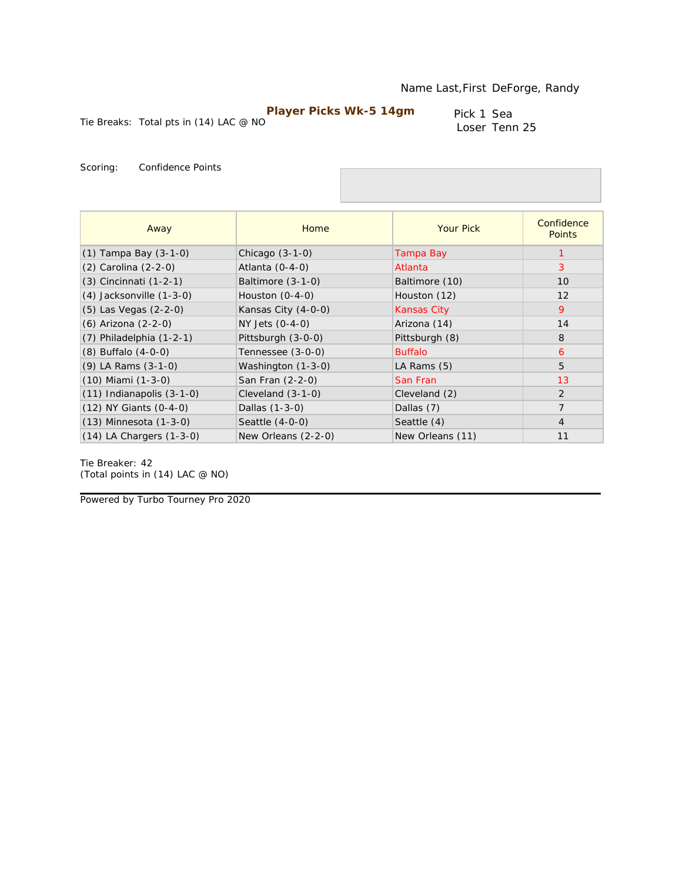Tie Breaks: Total pts in (14) LAC @ NO

Pick 1 Sea Loser Tenn 25

Scoring: Confidence Points

| Away                          | Home                | <b>Your Pick</b>   | Confidence<br><b>Points</b> |
|-------------------------------|---------------------|--------------------|-----------------------------|
| $(1)$ Tampa Bay $(3-1-0)$     | Chicago $(3-1-0)$   | Tampa Bay          |                             |
| (2) Carolina (2-2-0)          | Atlanta $(0-4-0)$   | Atlanta            | 3                           |
| (3) Cincinnati (1-2-1)        | Baltimore (3-1-0)   | Baltimore (10)     | 10                          |
| $(4)$ Jacksonville $(1-3-0)$  | Houston $(0-4-0)$   | Houston (12)       | 12                          |
| (5) Las Vegas (2-2-0)         | Kansas City (4-0-0) | <b>Kansas City</b> | 9                           |
| (6) Arizona (2-2-0)           | NY Jets (0-4-0)     | Arizona (14)       | 14                          |
| $(7)$ Philadelphia $(1-2-1)$  | Pittsburgh (3-0-0)  | Pittsburgh (8)     | 8                           |
| $(8)$ Buffalo $(4-0-0)$       | Tennessee (3-0-0)   | <b>Buffalo</b>     | 6                           |
| $(9)$ LA Rams $(3-1-0)$       | Washington (1-3-0)  | LA Rams $(5)$      | 5                           |
| $(10)$ Miami $(1-3-0)$        | San Fran (2-2-0)    | San Fran           | 13                          |
| $(11)$ Indianapolis $(3-1-0)$ | Cleveland $(3-1-0)$ | Cleveland (2)      | 2                           |
| (12) NY Giants (0-4-0)        | Dallas (1-3-0)      | Dallas (7)         | $\overline{7}$              |
| $(13)$ Minnesota $(1-3-0)$    | Seattle $(4-0-0)$   | Seattle (4)        | $\overline{4}$              |
| $(14)$ LA Chargers $(1-3-0)$  | New Orleans (2-2-0) | New Orleans (11)   | 11                          |

Tie Breaker: 42 *(Total points in (14) LAC @ NO)*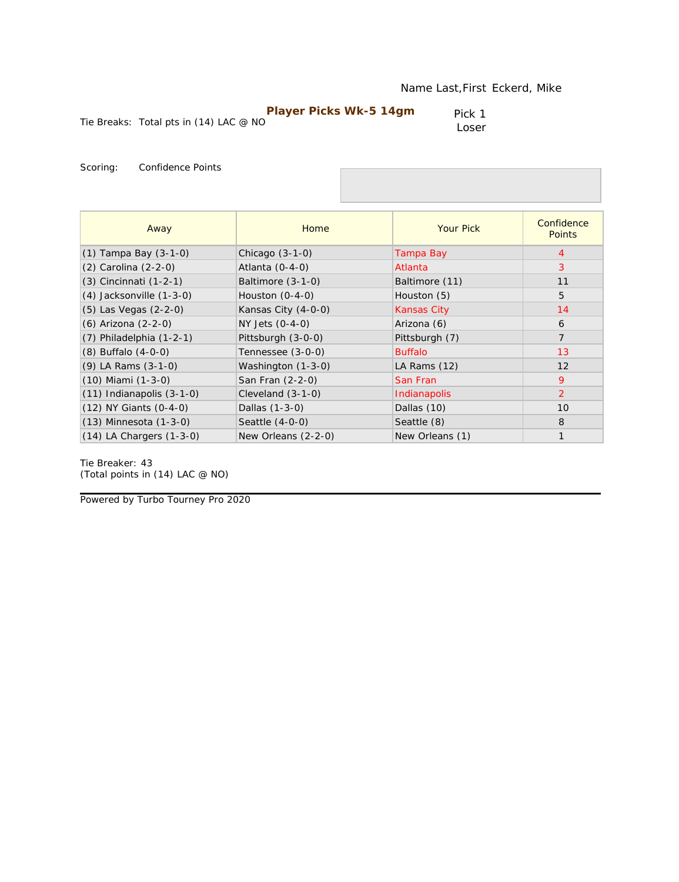|                                          | <b>Player Picks Wk-5 14gm</b> | Pick 1 |
|------------------------------------------|-------------------------------|--------|
| Tie Breaks: Total pts in $(14)$ LAC @ NO |                               | Loser  |

| Away                          | Home                | <b>Your Pick</b>   | Confidence<br><b>Points</b> |
|-------------------------------|---------------------|--------------------|-----------------------------|
| $(1)$ Tampa Bay $(3-1-0)$     | Chicago $(3-1-0)$   | Tampa Bay          | 4                           |
| (2) Carolina (2-2-0)          | Atlanta $(0-4-0)$   | Atlanta            | 3                           |
| (3) Cincinnati (1-2-1)        | Baltimore (3-1-0)   | Baltimore (11)     | 11                          |
| (4) Jacksonville (1-3-0)      | Houston $(0-4-0)$   | Houston (5)        | 5                           |
| (5) Las Vegas (2-2-0)         | Kansas City (4-0-0) | <b>Kansas City</b> | 14                          |
| (6) Arizona (2-2-0)           | NY Jets $(0-4-0)$   | Arizona (6)        | 6                           |
| $(7)$ Philadelphia $(1-2-1)$  | Pittsburgh (3-0-0)  | Pittsburgh (7)     | $\overline{7}$              |
| $(8)$ Buffalo $(4-0-0)$       | Tennessee (3-0-0)   | <b>Buffalo</b>     | 13                          |
| (9) LA Rams (3-1-0)           | Washington (1-3-0)  | LA Rams (12)       | 12                          |
| (10) Miami (1-3-0)            | San Fran (2-2-0)    | San Fran           | 9                           |
| $(11)$ Indianapolis $(3-1-0)$ | Cleveland $(3-1-0)$ | Indianapolis       | 2                           |
| (12) NY Giants (0-4-0)        | Dallas (1-3-0)      | Dallas (10)        | 10                          |
| (13) Minnesota (1-3-0)        | Seattle (4-0-0)     | Seattle (8)        | 8                           |
| (14) LA Chargers (1-3-0)      | New Orleans (2-2-0) | New Orleans (1)    | $\mathbf{1}$                |

Tie Breaker: 43 *(Total points in (14) LAC @ NO)*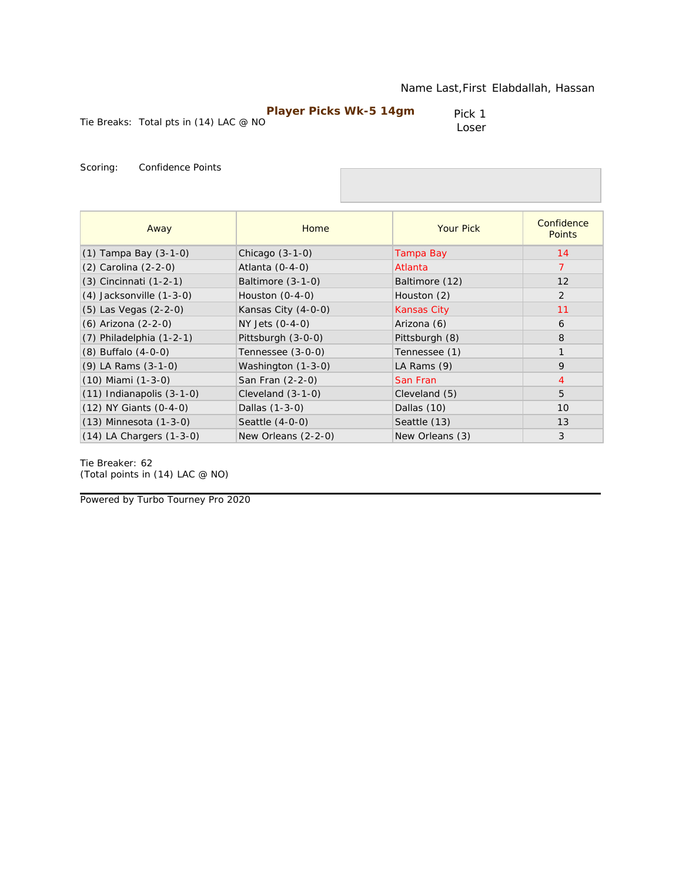|                                          | <b>Player Picks Wk-5 14gm</b> | Pick 1 |
|------------------------------------------|-------------------------------|--------|
| Tie Breaks: Total pts in $(14)$ LAC @ NO |                               | Loser  |

| Away                          | Home                | <b>Your Pick</b>   | Confidence<br><b>Points</b> |
|-------------------------------|---------------------|--------------------|-----------------------------|
| $(1)$ Tampa Bay $(3-1-0)$     | Chicago $(3-1-0)$   | Tampa Bay          | 14                          |
| (2) Carolina (2-2-0)          | Atlanta $(0-4-0)$   | Atlanta            | 7                           |
| (3) Cincinnati (1-2-1)        | Baltimore (3-1-0)   | Baltimore (12)     | 12                          |
| $(4)$ Jacksonville $(1-3-0)$  | Houston $(0-4-0)$   | Houston (2)        | 2                           |
| (5) Las Vegas (2-2-0)         | Kansas City (4-0-0) | <b>Kansas City</b> | 11                          |
| (6) Arizona (2-2-0)           | NY Jets (0-4-0)     | Arizona (6)        | 6                           |
| $(7)$ Philadelphia $(1-2-1)$  | Pittsburgh (3-0-0)  | Pittsburgh (8)     | 8                           |
| $(8)$ Buffalo $(4-0-0)$       | Tennessee (3-0-0)   | Tennessee (1)      | $\mathbf{1}$                |
| $(9)$ LA Rams $(3-1-0)$       | Washington (1-3-0)  | LA Rams (9)        | 9                           |
| $(10)$ Miami $(1-3-0)$        | San Fran (2-2-0)    | San Fran           | $\overline{4}$              |
| $(11)$ Indianapolis $(3-1-0)$ | Cleveland $(3-1-0)$ | Cleveland (5)      | 5                           |
| (12) NY Giants (0-4-0)        | Dallas (1-3-0)      | Dallas (10)        | 10                          |
| $(13)$ Minnesota $(1-3-0)$    | Seattle $(4-0-0)$   | Seattle (13)       | 13                          |
| $(14)$ LA Chargers $(1-3-0)$  | New Orleans (2-2-0) | New Orleans (3)    | 3                           |

Tie Breaker: 62 *(Total points in (14) LAC @ NO)*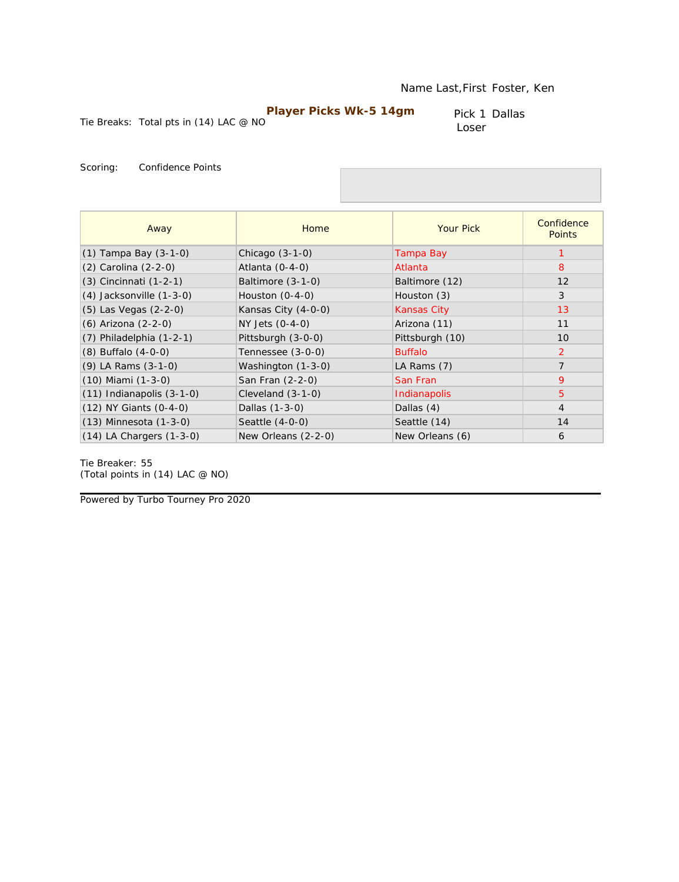Pick 1 Dallas Loser

Tie Breaks: Total pts in (14) LAC @ NO

Scoring: Confidence Points

| Away                          | Home                | <b>Your Pick</b>   | Confidence<br><b>Points</b> |
|-------------------------------|---------------------|--------------------|-----------------------------|
| $(1)$ Tampa Bay $(3-1-0)$     | Chicago $(3-1-0)$   | Tampa Bay          |                             |
| (2) Carolina (2-2-0)          | Atlanta $(0-4-0)$   | Atlanta            | 8                           |
| (3) Cincinnati (1-2-1)        | Baltimore $(3-1-0)$ | Baltimore (12)     | 12                          |
| $(4)$ Jacksonville $(1-3-0)$  | Houston $(0-4-0)$   | Houston (3)        | 3                           |
| (5) Las Vegas (2-2-0)         | Kansas City (4-0-0) | <b>Kansas City</b> | 13                          |
| (6) Arizona (2-2-0)           | NY Jets (0-4-0)     | Arizona (11)       | 11                          |
| $(7)$ Philadelphia $(1-2-1)$  | Pittsburgh (3-0-0)  | Pittsburgh (10)    | 10                          |
| $(8)$ Buffalo $(4-0-0)$       | Tennessee (3-0-0)   | <b>Buffalo</b>     | $\overline{2}$              |
| $(9)$ LA Rams $(3-1-0)$       | Washington (1-3-0)  | LA Rams (7)        | $\overline{7}$              |
| $(10)$ Miami $(1-3-0)$        | San Fran (2-2-0)    | San Fran           | 9                           |
| $(11)$ Indianapolis $(3-1-0)$ | Cleveland $(3-1-0)$ | Indianapolis       | 5                           |
| (12) NY Giants (0-4-0)        | Dallas (1-3-0)      | Dallas $(4)$       | $\overline{4}$              |
| $(13)$ Minnesota $(1-3-0)$    | Seattle $(4-0-0)$   | Seattle (14)       | 14                          |
| $(14)$ LA Chargers $(1-3-0)$  | New Orleans (2-2-0) | New Orleans (6)    | 6                           |

Tie Breaker: 55 *(Total points in (14) LAC @ NO)*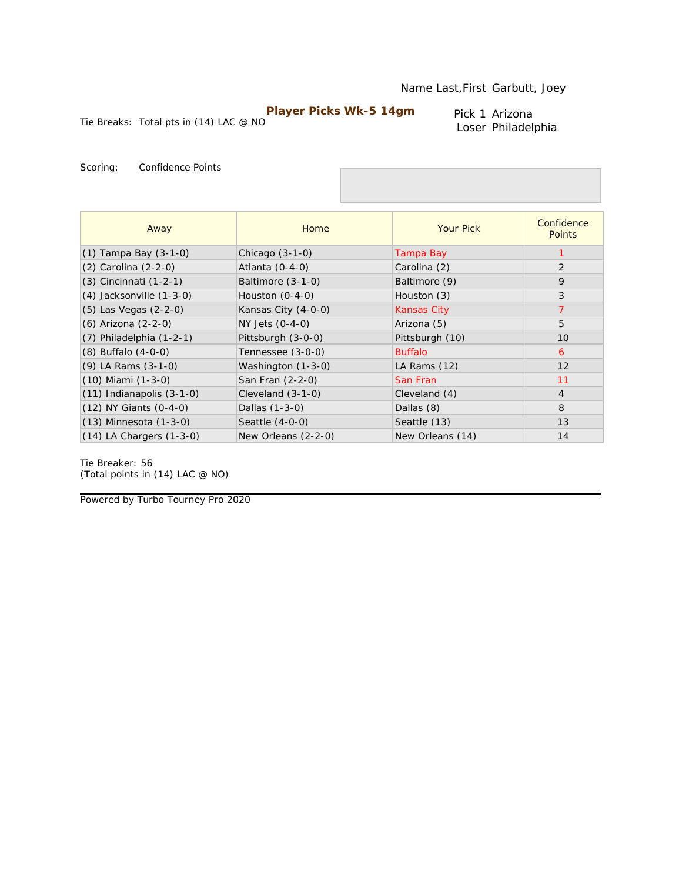Tie Breaks: Total pts in (14) LAC @ NO

Pick 1 Arizona Loser Philadelphia

Scoring: Confidence Points

| Away                          | Home                | <b>Your Pick</b>   | Confidence<br><b>Points</b> |
|-------------------------------|---------------------|--------------------|-----------------------------|
| $(1)$ Tampa Bay $(3-1-0)$     | Chicago $(3-1-0)$   | Tampa Bay          |                             |
| (2) Carolina (2-2-0)          | Atlanta $(0-4-0)$   | Carolina (2)       | 2                           |
| (3) Cincinnati (1-2-1)        | Baltimore (3-1-0)   | Baltimore (9)      | 9                           |
| $(4)$ Jacksonville $(1-3-0)$  | Houston $(0-4-0)$   | Houston (3)        | 3                           |
| (5) Las Vegas (2-2-0)         | Kansas City (4-0-0) | <b>Kansas City</b> | $\overline{7}$              |
| (6) Arizona (2-2-0)           | NY Jets (0-4-0)     | Arizona (5)        | 5                           |
| $(7)$ Philadelphia $(1-2-1)$  | Pittsburgh (3-0-0)  | Pittsburgh (10)    | 10                          |
| $(8)$ Buffalo $(4-0-0)$       | Tennessee (3-0-0)   | <b>Buffalo</b>     | 6                           |
| $(9)$ LA Rams $(3-1-0)$       | Washington (1-3-0)  | LA Rams (12)       | 12                          |
| $(10)$ Miami $(1-3-0)$        | San Fran (2-2-0)    | San Fran           | 11                          |
| $(11)$ Indianapolis $(3-1-0)$ | Cleveland $(3-1-0)$ | Cleveland (4)      | $\overline{4}$              |
| $(12)$ NY Giants $(0-4-0)$    | Dallas (1-3-0)      | Dallas (8)         | 8                           |
| $(13)$ Minnesota $(1-3-0)$    | Seattle $(4-0-0)$   | Seattle (13)       | 13                          |
| $(14)$ LA Chargers $(1-3-0)$  | New Orleans (2-2-0) | New Orleans (14)   | 14                          |

Tie Breaker: 56 *(Total points in (14) LAC @ NO)*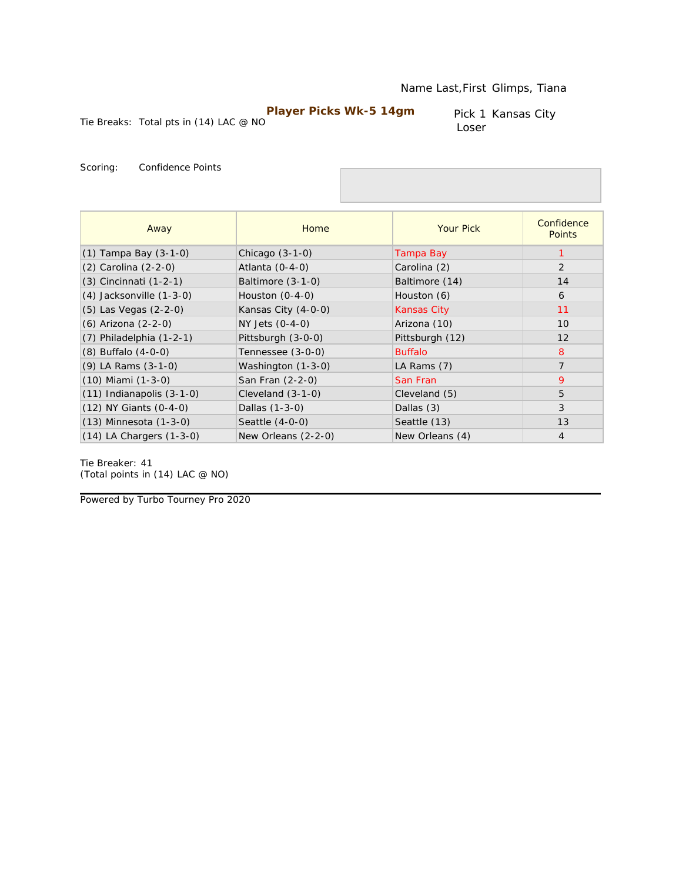Pick 1 Kansas City Loser

Tie Breaks: Total pts in (14) LAC @ NO

Scoring: Confidence Points

| Away                          | Home                | <b>Your Pick</b>   | Confidence<br><b>Points</b> |
|-------------------------------|---------------------|--------------------|-----------------------------|
| $(1)$ Tampa Bay $(3-1-0)$     | Chicago $(3-1-0)$   | Tampa Bay          |                             |
| (2) Carolina (2-2-0)          | Atlanta $(0-4-0)$   | Carolina (2)       | 2                           |
| (3) Cincinnati (1-2-1)        | Baltimore (3-1-0)   | Baltimore (14)     | 14                          |
| $(4)$ Jacksonville $(1-3-0)$  | Houston $(0-4-0)$   | Houston (6)        | 6                           |
| (5) Las Vegas (2-2-0)         | Kansas City (4-0-0) | <b>Kansas City</b> | 11                          |
| (6) Arizona (2-2-0)           | NY Jets (0-4-0)     | Arizona (10)       | 10                          |
| $(7)$ Philadelphia $(1-2-1)$  | Pittsburgh (3-0-0)  | Pittsburgh (12)    | 12                          |
| $(8)$ Buffalo $(4-0-0)$       | Tennessee (3-0-0)   | <b>Buffalo</b>     | 8                           |
| $(9)$ LA Rams $(3-1-0)$       | Washington (1-3-0)  | LA Rams (7)        | $\overline{7}$              |
| $(10)$ Miami $(1-3-0)$        | San Fran (2-2-0)    | San Fran           | 9                           |
| $(11)$ Indianapolis $(3-1-0)$ | Cleveland $(3-1-0)$ | Cleveland (5)      | 5                           |
| (12) NY Giants (0-4-0)        | Dallas (1-3-0)      | Dallas (3)         | 3                           |
| $(13)$ Minnesota $(1-3-0)$    | Seattle $(4-0-0)$   | Seattle (13)       | 13                          |
| $(14)$ LA Chargers $(1-3-0)$  | New Orleans (2-2-0) | New Orleans (4)    | $\overline{4}$              |

Tie Breaker: 41 *(Total points in (14) LAC @ NO)*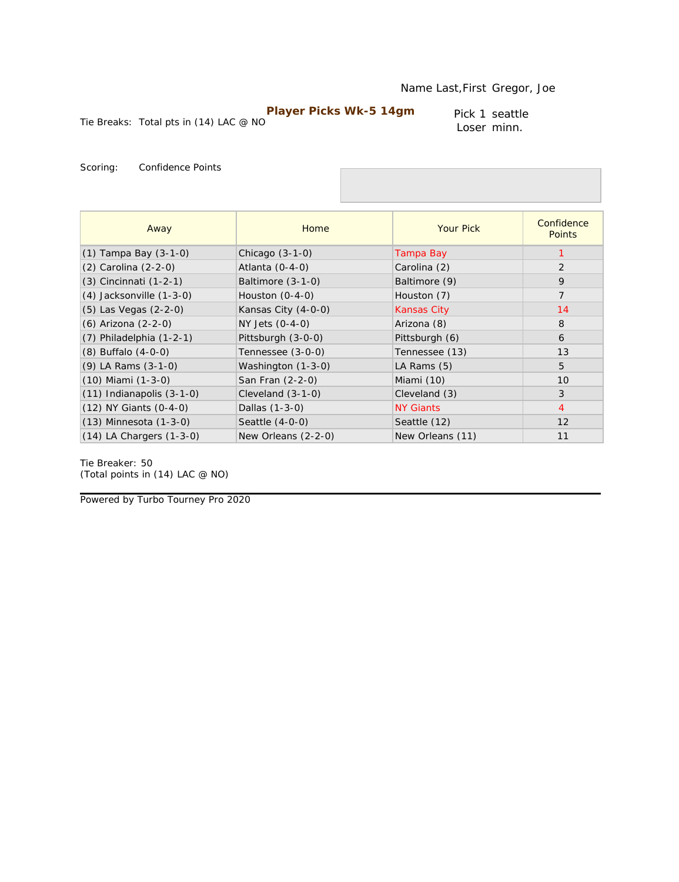Pick 1 seattle Loser minn.

Tie Breaks: Total pts in (14) LAC @ NO

Scoring: Confidence Points

| Away                          | Home                | <b>Your Pick</b>   | Confidence<br><b>Points</b> |
|-------------------------------|---------------------|--------------------|-----------------------------|
| (1) Tampa Bay (3-1-0)         | Chicago $(3-1-0)$   | Tampa Bay          |                             |
| (2) Carolina (2-2-0)          | Atlanta $(0-4-0)$   | Carolina (2)       | 2                           |
| (3) Cincinnati (1-2-1)        | Baltimore $(3-1-0)$ | Baltimore (9)      | 9                           |
| $(4)$ Jacksonville $(1-3-0)$  | Houston $(0-4-0)$   | Houston (7)        | $\overline{7}$              |
| $(5)$ Las Vegas $(2-2-0)$     | Kansas City (4-0-0) | <b>Kansas City</b> | 14                          |
| (6) Arizona (2-2-0)           | NY Jets (0-4-0)     | Arizona (8)        | 8                           |
| $(7)$ Philadelphia $(1-2-1)$  | Pittsburgh (3-0-0)  | Pittsburgh (6)     | 6                           |
| $(8)$ Buffalo $(4-0-0)$       | Tennessee (3-0-0)   | Tennessee (13)     | 13                          |
| $(9)$ LA Rams $(3-1-0)$       | Washington (1-3-0)  | LA Rams $(5)$      | 5                           |
| $(10)$ Miami $(1-3-0)$        | San Fran (2-2-0)    | Miami (10)         | 10                          |
| $(11)$ Indianapolis $(3-1-0)$ | Cleveland $(3-1-0)$ | Cleveland (3)      | 3                           |
| $(12)$ NY Giants $(0-4-0)$    | Dallas (1-3-0)      | <b>NY Giants</b>   | $\overline{4}$              |
| $(13)$ Minnesota $(1-3-0)$    | Seattle (4-0-0)     | Seattle (12)       | 12                          |
| $(14)$ LA Chargers $(1-3-0)$  | New Orleans (2-2-0) | New Orleans (11)   | 11                          |

Tie Breaker: 50 *(Total points in (14) LAC @ NO)*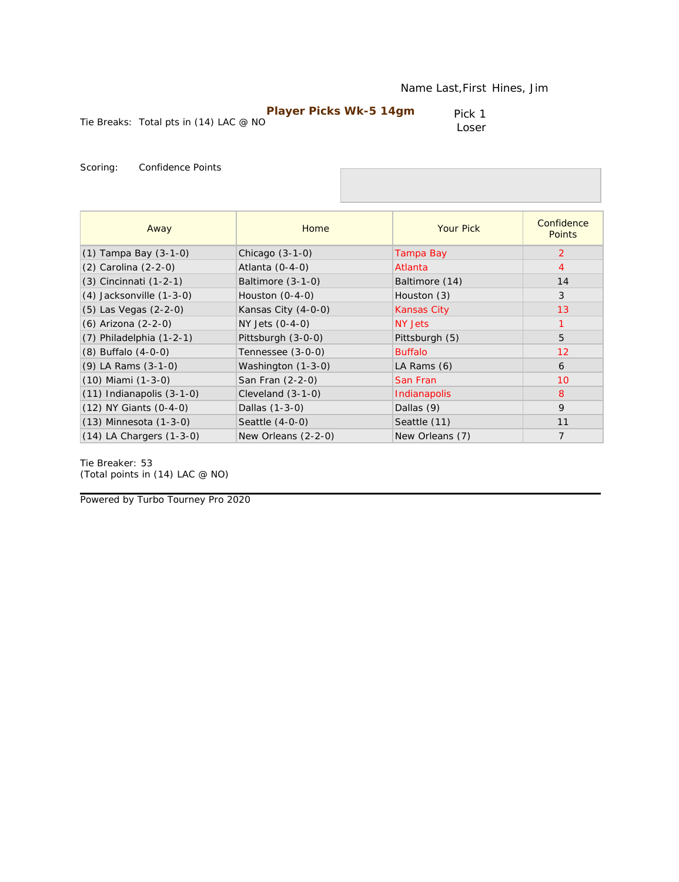| <b>Player Picks Wk-5 14gm</b>              | Pick 1 |
|--------------------------------------------|--------|
| Tie Breaks: Total pts in $(14)$ LAC $@$ NO | Loser  |

| Away                          | Home                | <b>Your Pick</b>   | Confidence<br><b>Points</b> |
|-------------------------------|---------------------|--------------------|-----------------------------|
| $(1)$ Tampa Bay $(3-1-0)$     | Chicago $(3-1-0)$   | Tampa Bay          | 2                           |
| (2) Carolina (2-2-0)          | Atlanta $(0-4-0)$   | Atlanta            | $\overline{4}$              |
| (3) Cincinnati (1-2-1)        | Baltimore (3-1-0)   | Baltimore (14)     | 14                          |
| $(4)$ Jacksonville $(1-3-0)$  | Houston $(0-4-0)$   | Houston (3)        | 3                           |
| (5) Las Vegas (2-2-0)         | Kansas City (4-0-0) | <b>Kansas City</b> | 13                          |
| (6) Arizona (2-2-0)           | NY Jets (0-4-0)     | NY Jets            | $\mathbf{1}$                |
| $(7)$ Philadelphia $(1-2-1)$  | Pittsburgh (3-0-0)  | Pittsburgh (5)     | 5                           |
| $(8)$ Buffalo $(4-0-0)$       | Tennessee (3-0-0)   | <b>Buffalo</b>     | 12                          |
| $(9)$ LA Rams $(3-1-0)$       | Washington (1-3-0)  | LA Rams (6)        | 6                           |
| $(10)$ Miami $(1-3-0)$        | San Fran (2-2-0)    | San Fran           | 10                          |
| $(11)$ Indianapolis $(3-1-0)$ | Cleveland $(3-1-0)$ | Indianapolis       | 8                           |
| $(12)$ NY Giants $(0-4-0)$    | Dallas (1-3-0)      | Dallas (9)         | 9                           |
| $(13)$ Minnesota $(1-3-0)$    | Seattle $(4-0-0)$   | Seattle (11)       | 11                          |
| $(14)$ LA Chargers $(1-3-0)$  | New Orleans (2-2-0) | New Orleans (7)    | $\overline{7}$              |

Tie Breaker: 53 *(Total points in (14) LAC @ NO)*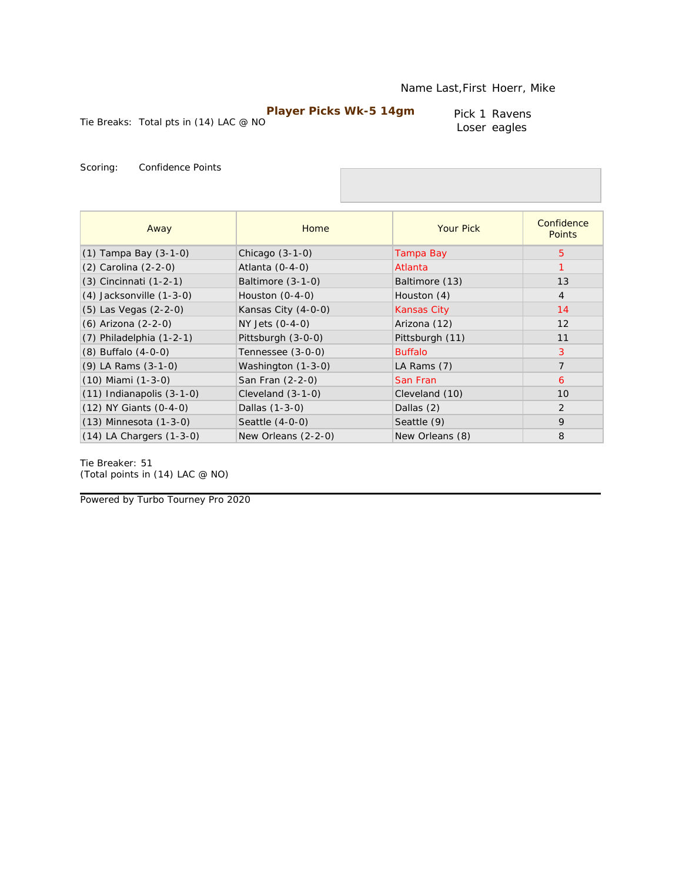Tie Breaks: Total pts in (14) LAC @ NO

Pick 1 Ravens Loser eagles

Scoring: Confidence Points

| Away                          | Home                | <b>Your Pick</b>   | Confidence<br><b>Points</b> |
|-------------------------------|---------------------|--------------------|-----------------------------|
| $(1)$ Tampa Bay $(3-1-0)$     | Chicago $(3-1-0)$   | Tampa Bay          | 5                           |
| (2) Carolina (2-2-0)          | Atlanta $(0-4-0)$   | Atlanta            |                             |
| $(3)$ Cincinnati $(1-2-1)$    | Baltimore $(3-1-0)$ | Baltimore (13)     | 13                          |
| $(4)$ Jacksonville $(1-3-0)$  | Houston $(0-4-0)$   | Houston (4)        | $\overline{4}$              |
| (5) Las Vegas (2-2-0)         | Kansas City (4-0-0) | <b>Kansas City</b> | 14                          |
| (6) Arizona (2-2-0)           | NY Jets (0-4-0)     | Arizona (12)       | 12                          |
| $(7)$ Philadelphia $(1-2-1)$  | Pittsburgh (3-0-0)  | Pittsburgh (11)    | 11                          |
| $(8)$ Buffalo $(4-0-0)$       | Tennessee (3-0-0)   | <b>Buffalo</b>     | 3                           |
| (9) LA Rams (3-1-0)           | Washington (1-3-0)  | LA Rams (7)        | $\overline{7}$              |
| $(10)$ Miami $(1-3-0)$        | San Fran (2-2-0)    | San Fran           | 6                           |
| $(11)$ Indianapolis $(3-1-0)$ | Cleveland $(3-1-0)$ | Cleveland (10)     | 10                          |
| $(12)$ NY Giants $(0-4-0)$    | Dallas (1-3-0)      | Dallas (2)         | $\overline{2}$              |
| $(13)$ Minnesota $(1-3-0)$    | Seattle (4-0-0)     | Seattle (9)        | 9                           |
| $(14)$ LA Chargers $(1-3-0)$  | New Orleans (2-2-0) | New Orleans (8)    | 8                           |

Tie Breaker: 51 *(Total points in (14) LAC @ NO)*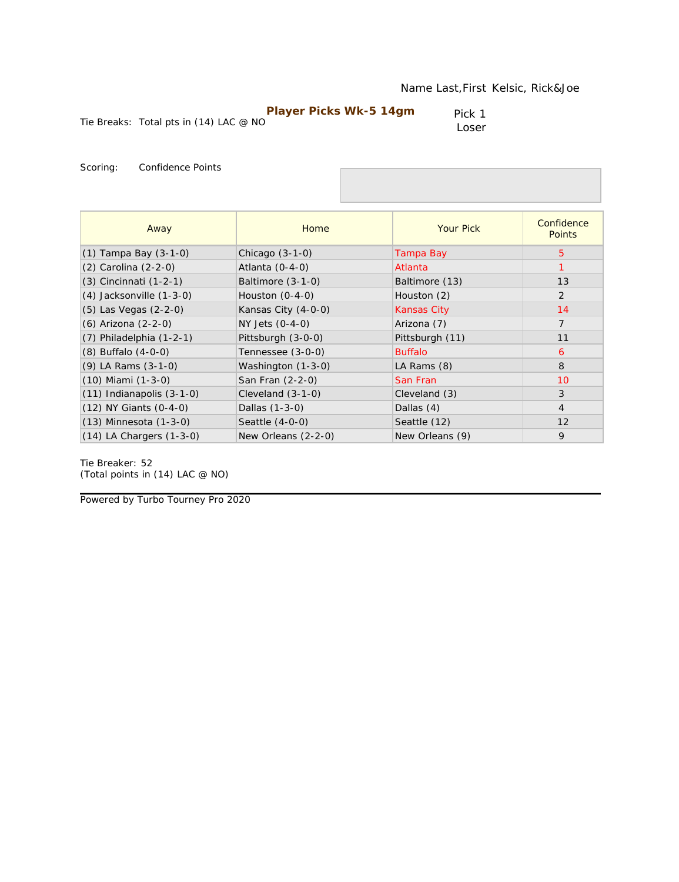|                                          | <b>Player Picks Wk-5 14gm</b> | Pick 1 |
|------------------------------------------|-------------------------------|--------|
| Tie Breaks: Total pts in $(14)$ LAC @ NO |                               | Loser  |

| Away                          | Home                | <b>Your Pick</b>   | Confidence<br><b>Points</b> |
|-------------------------------|---------------------|--------------------|-----------------------------|
| $(1)$ Tampa Bay $(3-1-0)$     | Chicago $(3-1-0)$   | Tampa Bay          | 5                           |
| (2) Carolina (2-2-0)          | Atlanta $(0-4-0)$   | Atlanta            |                             |
| (3) Cincinnati (1-2-1)        | Baltimore $(3-1-0)$ | Baltimore (13)     | 13                          |
| $(4)$ Jacksonville $(1-3-0)$  | Houston $(0-4-0)$   | Houston (2)        | 2                           |
| (5) Las Vegas (2-2-0)         | Kansas City (4-0-0) | <b>Kansas City</b> | 14                          |
| (6) Arizona (2-2-0)           | NY Jets (0-4-0)     | Arizona (7)        | $\overline{7}$              |
| $(7)$ Philadelphia $(1-2-1)$  | Pittsburgh (3-0-0)  | Pittsburgh (11)    | 11                          |
| $(8)$ Buffalo $(4-0-0)$       | Tennessee (3-0-0)   | <b>Buffalo</b>     | 6                           |
| $(9)$ LA Rams $(3-1-0)$       | Washington (1-3-0)  | LA Rams (8)        | 8                           |
| $(10)$ Miami $(1-3-0)$        | San Fran (2-2-0)    | San Fran           | 10                          |
| $(11)$ Indianapolis $(3-1-0)$ | Cleveland $(3-1-0)$ | Cleveland (3)      | 3                           |
| $(12)$ NY Giants $(0-4-0)$    | Dallas (1-3-0)      | Dallas (4)         | $\overline{4}$              |
| $(13)$ Minnesota $(1-3-0)$    | Seattle (4-0-0)     | Seattle (12)       | 12                          |
| $(14)$ LA Chargers $(1-3-0)$  | New Orleans (2-2-0) | New Orleans (9)    | 9                           |

Tie Breaker: 52 *(Total points in (14) LAC @ NO)*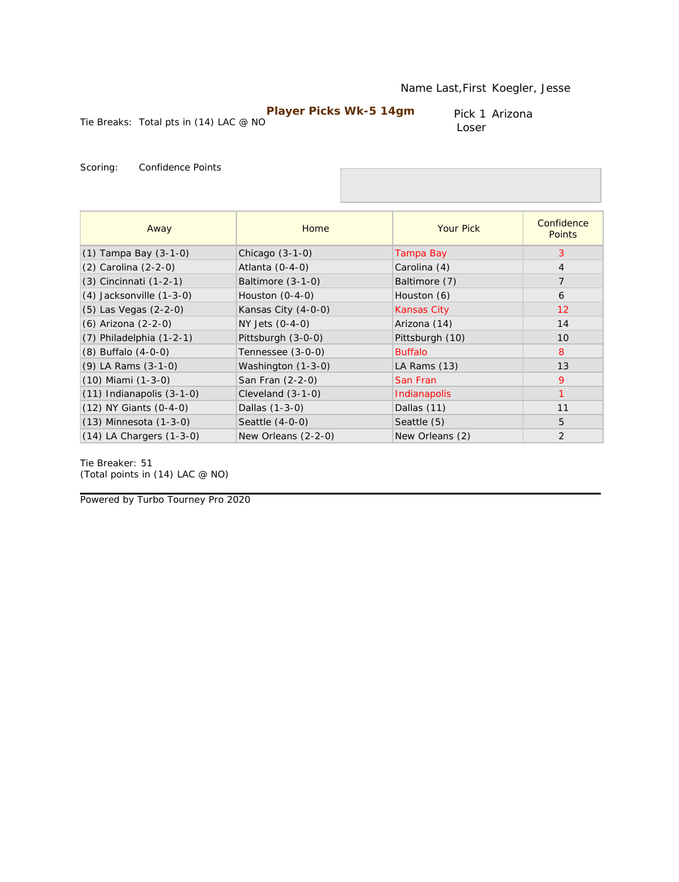Pick 1 Arizona Loser

Tie Breaks: Total pts in (14) LAC @ NO

Scoring: Confidence Points

| Away                          | Home                | <b>Your Pick</b>   | Confidence<br><b>Points</b> |
|-------------------------------|---------------------|--------------------|-----------------------------|
| $(1)$ Tampa Bay $(3-1-0)$     | Chicago $(3-1-0)$   | Tampa Bay          | 3                           |
| (2) Carolina (2-2-0)          | Atlanta $(0-4-0)$   | Carolina (4)       | $\overline{4}$              |
| (3) Cincinnati (1-2-1)        | Baltimore (3-1-0)   | Baltimore (7)      | $\overline{7}$              |
| $(4)$ Jacksonville $(1-3-0)$  | Houston $(0-4-0)$   | Houston (6)        | 6                           |
| (5) Las Vegas (2-2-0)         | Kansas City (4-0-0) | <b>Kansas City</b> | 12                          |
| (6) Arizona (2-2-0)           | NY Jets (0-4-0)     | Arizona (14)       | 14                          |
| $(7)$ Philadelphia $(1-2-1)$  | Pittsburgh (3-0-0)  | Pittsburgh (10)    | 10                          |
| $(8)$ Buffalo $(4-0-0)$       | Tennessee (3-0-0)   | <b>Buffalo</b>     | 8                           |
| (9) LA Rams (3-1-0)           | Washington (1-3-0)  | LA Rams (13)       | 13                          |
| $(10)$ Miami $(1-3-0)$        | San Fran (2-2-0)    | San Fran           | 9                           |
| $(11)$ Indianapolis $(3-1-0)$ | Cleveland $(3-1-0)$ | Indianapolis       |                             |
| (12) NY Giants (0-4-0)        | Dallas (1-3-0)      | Dallas (11)        | 11                          |
| $(13)$ Minnesota $(1-3-0)$    | Seattle $(4-0-0)$   | Seattle (5)        | 5                           |
| $(14)$ LA Chargers $(1-3-0)$  | New Orleans (2-2-0) | New Orleans (2)    | $\overline{2}$              |

Tie Breaker: 51 *(Total points in (14) LAC @ NO)*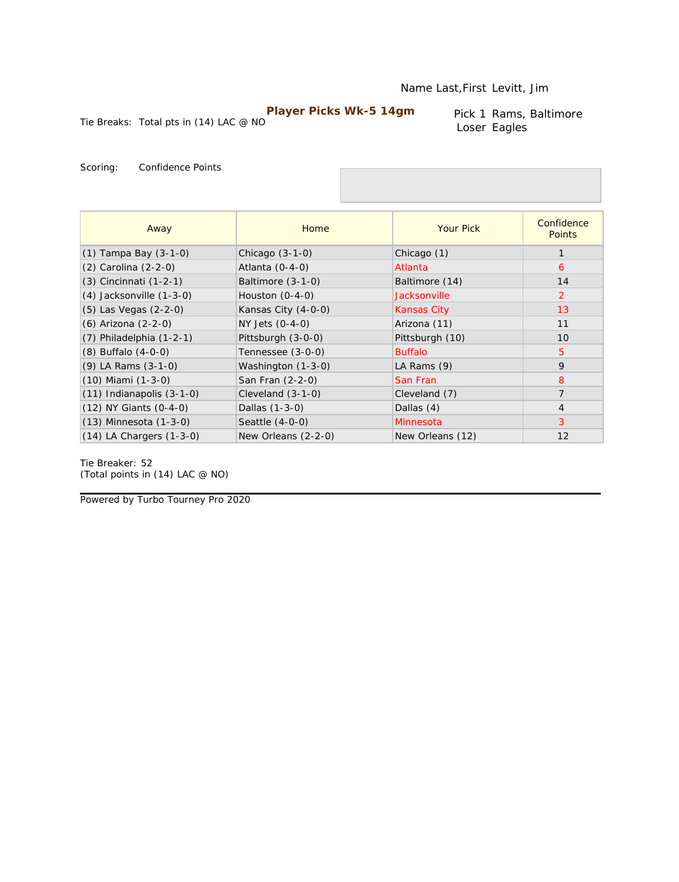Tie Breaks: Total pts in (14) LAC @ NO

Pick 1 Rams, Baltimore Loser Eagles

Scoring: Confidence Points

| Away                          | Home                | <b>Your Pick</b> | Confidence<br><b>Points</b> |
|-------------------------------|---------------------|------------------|-----------------------------|
| (1) Tampa Bay (3-1-0)         | Chicago $(3-1-0)$   | Chicago (1)      |                             |
| (2) Carolina (2-2-0)          | Atlanta (0-4-0)     | Atlanta          | 6                           |
| $(3)$ Cincinnati $(1-2-1)$    | Baltimore $(3-1-0)$ | Baltimore (14)   | 14                          |
| $(4)$ Jacksonville $(1-3-0)$  | Houston $(0-4-0)$   | Jacksonville     | $\overline{2}$              |
| $(5)$ Las Vegas $(2-2-0)$     | Kansas City (4-0-0) | Kansas City      | 13                          |
| (6) Arizona (2-2-0)           | NY Jets (0-4-0)     | Arizona (11)     | 11                          |
| $(7)$ Philadelphia $(1-2-1)$  | Pittsburgh (3-0-0)  | Pittsburgh (10)  | 10                          |
| $(8)$ Buffalo $(4-0-0)$       | Tennessee (3-0-0)   | <b>Buffalo</b>   | 5                           |
| $(9)$ LA Rams $(3-1-0)$       | Washington (1-3-0)  | LA Rams (9)      | 9                           |
| $(10)$ Miami $(1-3-0)$        | San Fran (2-2-0)    | San Fran         | 8                           |
| $(11)$ Indianapolis $(3-1-0)$ | Cleveland $(3-1-0)$ | Cleveland (7)    | $\overline{7}$              |
| $(12)$ NY Giants $(0-4-0)$    | Dallas (1-3-0)      | Dallas (4)       | $\overline{4}$              |
| $(13)$ Minnesota $(1-3-0)$    | Seattle (4-0-0)     | Minnesota        | 3                           |
| $(14)$ LA Chargers $(1-3-0)$  | New Orleans (2-2-0) | New Orleans (12) | 12                          |

Tie Breaker: 52 *(Total points in (14) LAC @ NO)*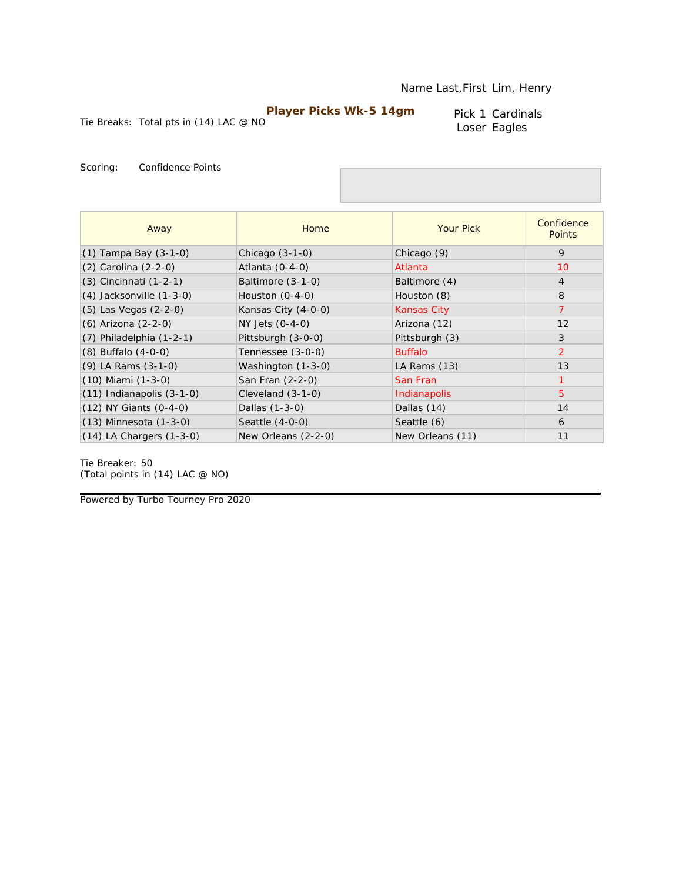Pick 1 Cardinals Loser Eagles

Tie Breaks: Total pts in (14) LAC @ NO

Scoring: Confidence Points

| Away                          | Home                | <b>Your Pick</b>   | Confidence<br><b>Points</b> |
|-------------------------------|---------------------|--------------------|-----------------------------|
| $(1)$ Tampa Bay $(3-1-0)$     | Chicago $(3-1-0)$   | Chicago (9)        | 9                           |
| $(2)$ Carolina $(2-2-0)$      | Atlanta $(0-4-0)$   | Atlanta            | 10                          |
| (3) Cincinnati (1-2-1)        | Baltimore (3-1-0)   | Baltimore (4)      | $\overline{4}$              |
| $(4)$ Jacksonville $(1-3-0)$  | Houston $(0-4-0)$   | Houston (8)        | 8                           |
| (5) Las Vegas (2-2-0)         | Kansas City (4-0-0) | <b>Kansas City</b> | $\overline{7}$              |
| (6) Arizona (2-2-0)           | NY Jets (0-4-0)     | Arizona (12)       | 12                          |
| $(7)$ Philadelphia $(1-2-1)$  | Pittsburgh (3-0-0)  | Pittsburgh (3)     | 3                           |
| $(8)$ Buffalo $(4-0-0)$       | Tennessee (3-0-0)   | <b>Buffalo</b>     | $\overline{2}$              |
| $(9)$ LA Rams $(3-1-0)$       | Washington (1-3-0)  | LA Rams (13)       | 13                          |
| $(10)$ Miami $(1-3-0)$        | San Fran (2-2-0)    | San Fran           |                             |
| $(11)$ Indianapolis $(3-1-0)$ | Cleveland $(3-1-0)$ | Indianapolis       | 5                           |
| $(12)$ NY Giants $(0-4-0)$    | Dallas (1-3-0)      | Dallas (14)        | 14                          |
| $(13)$ Minnesota $(1-3-0)$    | Seattle (4-0-0)     | Seattle (6)        | 6                           |
| $(14)$ LA Chargers $(1-3-0)$  | New Orleans (2-2-0) | New Orleans (11)   | 11                          |

Tie Breaker: 50 *(Total points in (14) LAC @ NO)*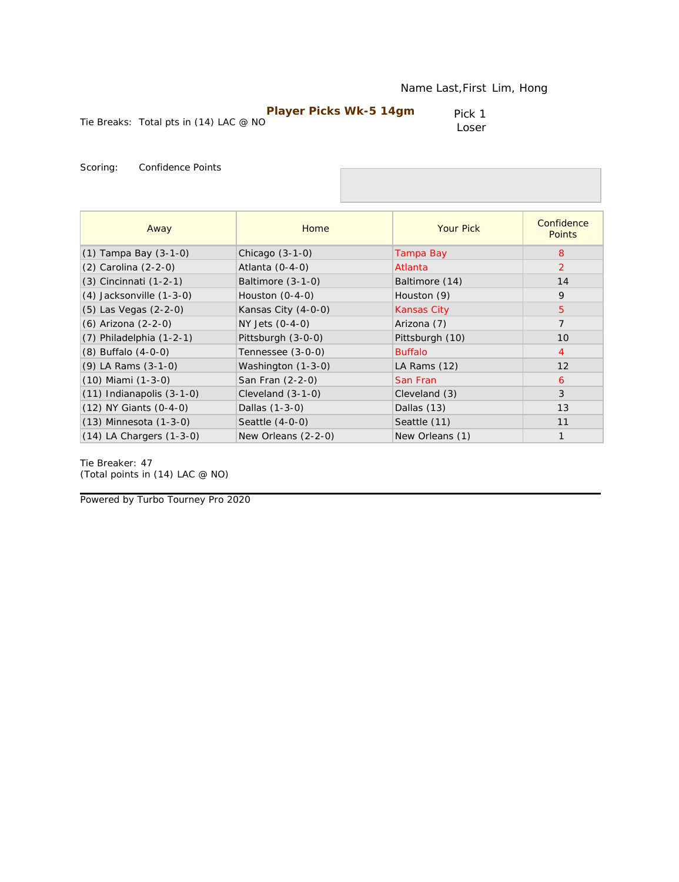|                                          | <b>Player Picks Wk-5 14gm</b> | Pick 1 |
|------------------------------------------|-------------------------------|--------|
| Tie Breaks: Total pts in $(14)$ LAC @ NO |                               | Loser  |

| Away                          | Home                | <b>Your Pick</b>   | Confidence<br><b>Points</b> |
|-------------------------------|---------------------|--------------------|-----------------------------|
| $(1)$ Tampa Bay $(3-1-0)$     | Chicago $(3-1-0)$   | Tampa Bay          | 8                           |
| (2) Carolina (2-2-0)          | Atlanta $(0-4-0)$   | Atlanta            | 2                           |
| $(3)$ Cincinnati $(1-2-1)$    | Baltimore $(3-1-0)$ | Baltimore (14)     | 14                          |
| $(4)$ Jacksonville $(1-3-0)$  | Houston $(0-4-0)$   | Houston (9)        | 9                           |
| (5) Las Vegas (2-2-0)         | Kansas City (4-0-0) | <b>Kansas City</b> | 5                           |
| (6) Arizona (2-2-0)           | NY Jets (0-4-0)     | Arizona (7)        | $\overline{7}$              |
| $(7)$ Philadelphia $(1-2-1)$  | Pittsburgh (3-0-0)  | Pittsburgh (10)    | 10                          |
| $(8)$ Buffalo $(4-0-0)$       | Tennessee (3-0-0)   | <b>Buffalo</b>     | $\overline{4}$              |
| $(9)$ LA Rams $(3-1-0)$       | Washington (1-3-0)  | LA Rams (12)       | 12                          |
| $(10)$ Miami $(1-3-0)$        | San Fran (2-2-0)    | San Fran           | 6                           |
| $(11)$ Indianapolis $(3-1-0)$ | Cleveland (3-1-0)   | Cleveland (3)      | 3                           |
| (12) NY Giants (0-4-0)        | Dallas (1-3-0)      | Dallas (13)        | 13                          |
| $(13)$ Minnesota $(1-3-0)$    | Seattle (4-0-0)     | Seattle (11)       | 11                          |
| $(14)$ LA Chargers $(1-3-0)$  | New Orleans (2-2-0) | New Orleans (1)    | $\mathbf{1}$                |

Tie Breaker: 47 *(Total points in (14) LAC @ NO)*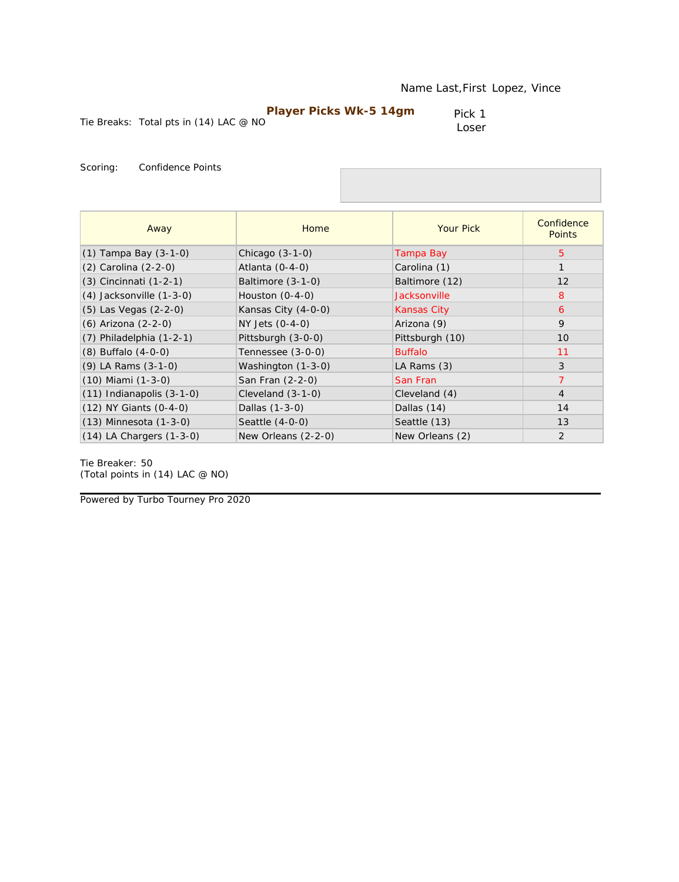|                                          | <b>Player Picks Wk-5 14gm</b> | Pick 1 |
|------------------------------------------|-------------------------------|--------|
| Tie Breaks: Total pts in $(14)$ LAC @ NO |                               | Loser  |
|                                          |                               |        |

| Away                          | Home                | <b>Your Pick</b>    | Confidence<br><b>Points</b> |
|-------------------------------|---------------------|---------------------|-----------------------------|
| $(1)$ Tampa Bay $(3-1-0)$     | Chicago $(3-1-0)$   | Tampa Bay           | 5                           |
| (2) Carolina (2-2-0)          | Atlanta $(0-4-0)$   | Carolina (1)        |                             |
| (3) Cincinnati (1-2-1)        | Baltimore (3-1-0)   | Baltimore (12)      | 12                          |
| (4) Jacksonville (1-3-0)      | Houston $(0-4-0)$   | <b>Jacksonville</b> | 8                           |
| (5) Las Vegas (2-2-0)         | Kansas City (4-0-0) | <b>Kansas City</b>  | 6                           |
| (6) Arizona (2-2-0)           | NY Jets (0-4-0)     | Arizona (9)         | 9                           |
| $(7)$ Philadelphia $(1-2-1)$  | Pittsburgh (3-0-0)  | Pittsburgh (10)     | 10                          |
| $(8)$ Buffalo $(4-0-0)$       | Tennessee (3-0-0)   | <b>Buffalo</b>      | 11                          |
| (9) LA Rams (3-1-0)           | Washington (1-3-0)  | LA Rams (3)         | 3                           |
| (10) Miami (1-3-0)            | San Fran (2-2-0)    | San Fran            | $\overline{7}$              |
| $(11)$ Indianapolis $(3-1-0)$ | Cleveland (3-1-0)   | Cleveland (4)       | $\overline{4}$              |
| (12) NY Giants (0-4-0)        | Dallas (1-3-0)      | Dallas (14)         | 14                          |
| (13) Minnesota (1-3-0)        | Seattle (4-0-0)     | Seattle (13)        | 13                          |
| $(14)$ LA Chargers $(1-3-0)$  | New Orleans (2-2-0) | New Orleans (2)     | 2                           |

Tie Breaker: 50 *(Total points in (14) LAC @ NO)*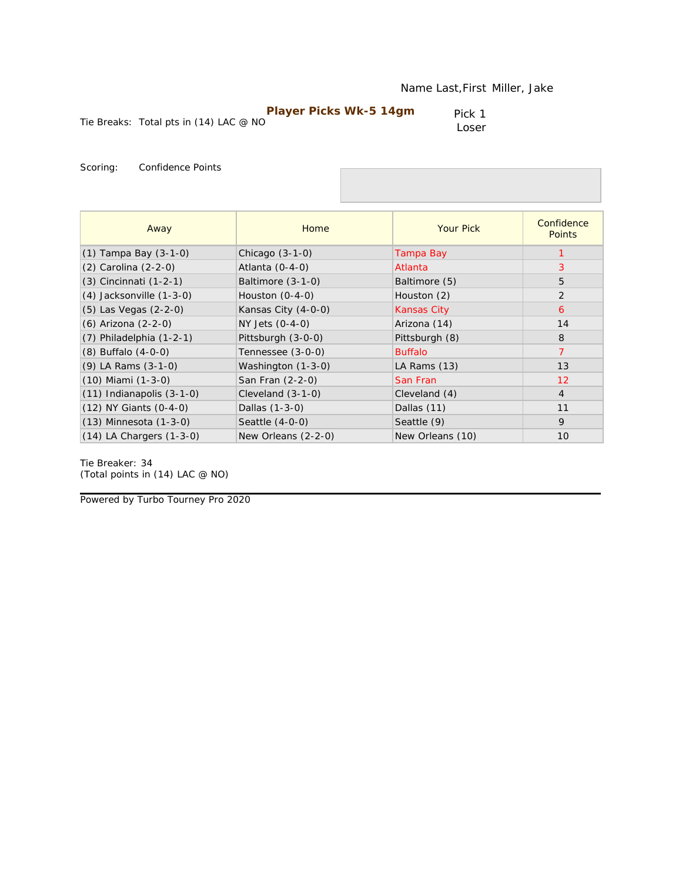| <b>Player Picks Wk-5 14gm</b>          | Pick 1 |
|----------------------------------------|--------|
| Tie Breaks: Total pts in (14) LAC @ NO | Loser  |

| Away                          | Home                | <b>Your Pick</b>   | Confidence<br><b>Points</b> |
|-------------------------------|---------------------|--------------------|-----------------------------|
| $(1)$ Tampa Bay $(3-1-0)$     | Chicago $(3-1-0)$   | Tampa Bay          |                             |
| (2) Carolina (2-2-0)          | Atlanta $(0-4-0)$   | Atlanta            | 3                           |
| (3) Cincinnati (1-2-1)        | Baltimore (3-1-0)   | Baltimore (5)      | 5                           |
| (4) Jacksonville (1-3-0)      | Houston $(0-4-0)$   | Houston (2)        | 2                           |
| (5) Las Vegas (2-2-0)         | Kansas City (4-0-0) | <b>Kansas City</b> | 6                           |
| (6) Arizona (2-2-0)           | NY Jets $(0-4-0)$   | Arizona (14)       | 14                          |
| $(7)$ Philadelphia $(1-2-1)$  | Pittsburgh (3-0-0)  | Pittsburgh (8)     | 8                           |
| $(8)$ Buffalo $(4-0-0)$       | Tennessee (3-0-0)   | <b>Buffalo</b>     | $\overline{7}$              |
| (9) LA Rams (3-1-0)           | Washington (1-3-0)  | LA Rams (13)       | 13                          |
| (10) Miami (1-3-0)            | San Fran (2-2-0)    | San Fran           | $12 \overline{ }$           |
| $(11)$ Indianapolis $(3-1-0)$ | Cleveland $(3-1-0)$ | Cleveland (4)      | $\overline{4}$              |
| (12) NY Giants (0-4-0)        | Dallas (1-3-0)      | Dallas (11)        | 11                          |
| (13) Minnesota (1-3-0)        | Seattle (4-0-0)     | Seattle (9)        | 9                           |
| (14) LA Chargers (1-3-0)      | New Orleans (2-2-0) | New Orleans (10)   | 10                          |

Tie Breaker: 34 *(Total points in (14) LAC @ NO)*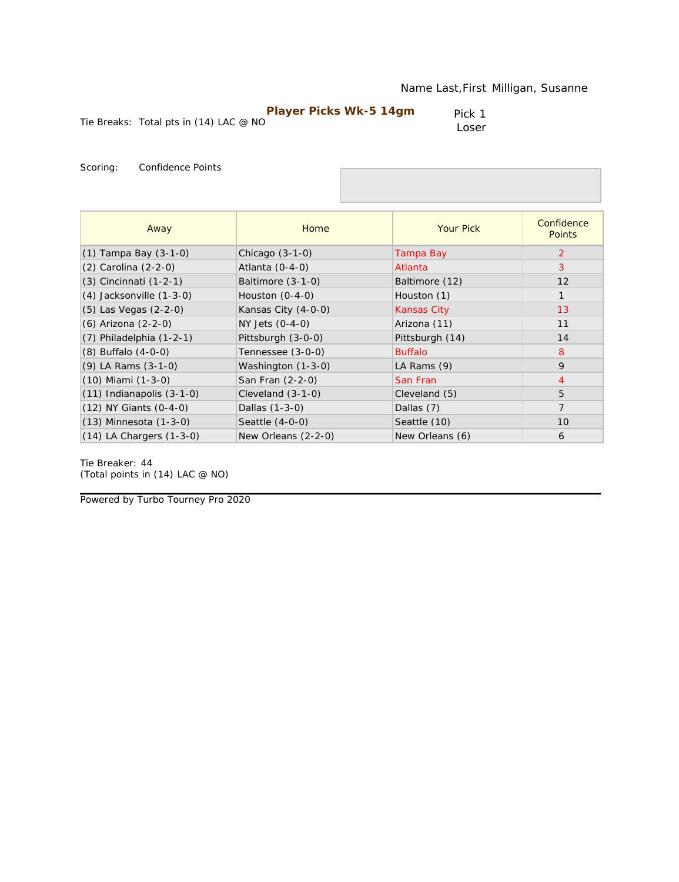|                                          | Player Picks Wk-5 14gm | Pick 1 |
|------------------------------------------|------------------------|--------|
| Tie Breaks: Total pts in $(14)$ LAC @ NO |                        | Loser  |

| Away                          | Home                | <b>Your Pick</b>   | Confidence<br><b>Points</b> |
|-------------------------------|---------------------|--------------------|-----------------------------|
| $(1)$ Tampa Bay $(3-1-0)$     | Chicago (3-1-0)     | Tampa Bay          | 2                           |
| (2) Carolina (2-2-0)          | Atlanta $(0-4-0)$   | Atlanta            | 3                           |
| (3) Cincinnati (1-2-1)        | Baltimore (3-1-0)   | Baltimore (12)     | 12                          |
| (4) Jacksonville (1-3-0)      | Houston $(0-4-0)$   | Houston (1)        | $\mathbf{1}$                |
| (5) Las Vegas (2-2-0)         | Kansas City (4-0-0) | <b>Kansas City</b> | 13                          |
| (6) Arizona (2-2-0)           | NY Jets (0-4-0)     | Arizona (11)       | 11                          |
| $(7)$ Philadelphia $(1-2-1)$  | Pittsburgh (3-0-0)  | Pittsburgh (14)    | 14                          |
| $(8)$ Buffalo $(4-0-0)$       | Tennessee (3-0-0)   | <b>Buffalo</b>     | 8                           |
| (9) LA Rams (3-1-0)           | Washington (1-3-0)  | LA Rams (9)        | 9                           |
| (10) Miami (1-3-0)            | San Fran (2-2-0)    | San Fran           | $\overline{4}$              |
| $(11)$ Indianapolis $(3-1-0)$ | Cleveland $(3-1-0)$ | Cleveland (5)      | 5                           |
| (12) NY Giants (0-4-0)        | Dallas (1-3-0)      | Dallas (7)         | $\overline{7}$              |
| (13) Minnesota (1-3-0)        | Seattle $(4-0-0)$   | Seattle (10)       | 10                          |
| $(14)$ LA Chargers $(1-3-0)$  | New Orleans (2-2-0) | New Orleans (6)    | 6                           |

Tie Breaker: 44 *(Total points in (14) LAC @ NO)*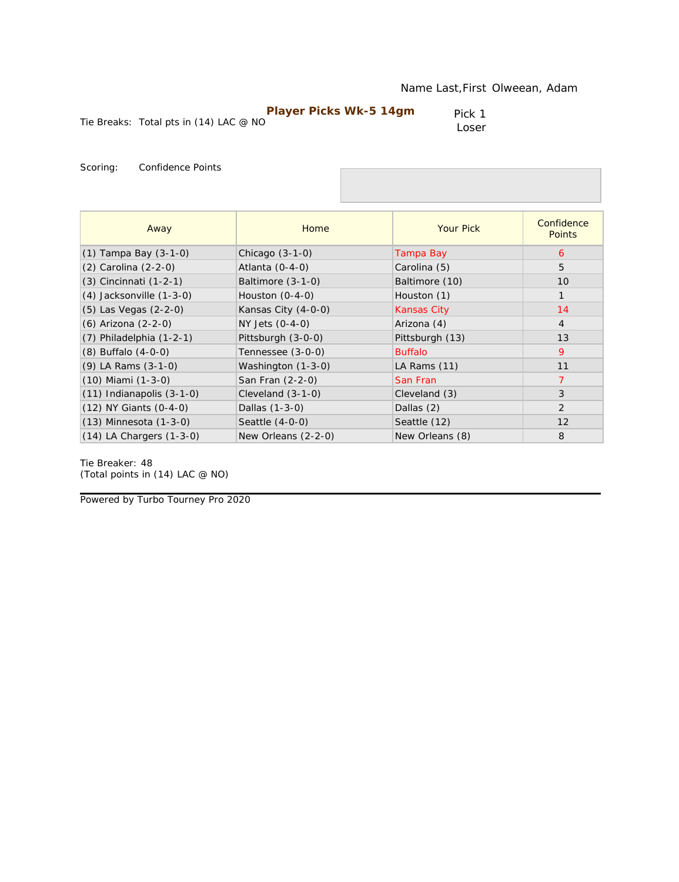| <b>Player Picks Wk-5 14gm</b>            | Pick 1 |
|------------------------------------------|--------|
| Tie Breaks: Total pts in $(14)$ LAC @ NO | Loser  |

| Away                          | Home                | <b>Your Pick</b>   | Confidence<br><b>Points</b> |
|-------------------------------|---------------------|--------------------|-----------------------------|
| $(1)$ Tampa Bay $(3-1-0)$     | Chicago $(3-1-0)$   | Tampa Bay          | 6                           |
| (2) Carolina (2-2-0)          | Atlanta $(0-4-0)$   | Carolina (5)       | 5                           |
| (3) Cincinnati (1-2-1)        | Baltimore (3-1-0)   | Baltimore (10)     | 10                          |
| $(4)$ Jacksonville $(1-3-0)$  | Houston $(0-4-0)$   | Houston (1)        | $\mathbf{1}$                |
| (5) Las Vegas (2-2-0)         | Kansas City (4-0-0) | <b>Kansas City</b> | 14                          |
| (6) Arizona (2-2-0)           | NY Jets (0-4-0)     | Arizona (4)        | $\overline{4}$              |
| $(7)$ Philadelphia $(1-2-1)$  | Pittsburgh (3-0-0)  | Pittsburgh (13)    | 13                          |
| $(8)$ Buffalo $(4-0-0)$       | Tennessee (3-0-0)   | <b>Buffalo</b>     | 9                           |
| (9) LA Rams (3-1-0)           | Washington (1-3-0)  | LA Rams (11)       | 11                          |
| $(10)$ Miami $(1-3-0)$        | San Fran (2-2-0)    | San Fran           | 7                           |
| $(11)$ Indianapolis $(3-1-0)$ | Cleveland $(3-1-0)$ | Cleveland (3)      | 3                           |
| $(12)$ NY Giants $(0-4-0)$    | Dallas (1-3-0)      | Dallas (2)         | 2                           |
| $(13)$ Minnesota $(1-3-0)$    | Seattle $(4-0-0)$   | Seattle (12)       | 12                          |
| $(14)$ LA Chargers $(1-3-0)$  | New Orleans (2-2-0) | New Orleans (8)    | 8                           |

Tie Breaker: 48 *(Total points in (14) LAC @ NO)*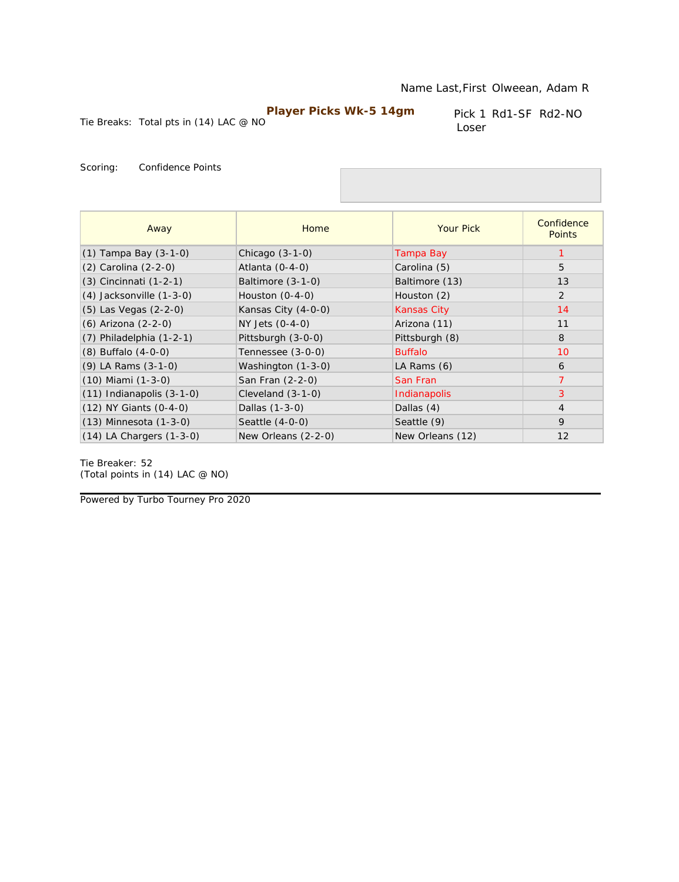Pick 1 Rd1-SF Rd2-NO Loser

Tie Breaks: Total pts in (14) LAC @ NO

Scoring: Confidence Points

| Away                          | Home                | <b>Your Pick</b>   | Confidence<br><b>Points</b> |
|-------------------------------|---------------------|--------------------|-----------------------------|
| $(1)$ Tampa Bay $(3-1-0)$     | Chicago $(3-1-0)$   | Tampa Bay          | 1                           |
| (2) Carolina (2-2-0)          | Atlanta $(0-4-0)$   | Carolina (5)       | 5                           |
| $(3)$ Cincinnati $(1-2-1)$    | Baltimore (3-1-0)   | Baltimore (13)     | 13                          |
| $(4)$ Jacksonville $(1-3-0)$  | Houston $(0-4-0)$   | Houston (2)        | $\overline{2}$              |
| $(5)$ Las Vegas $(2-2-0)$     | Kansas City (4-0-0) | <b>Kansas City</b> | 14                          |
| (6) Arizona (2-2-0)           | NY Jets (0-4-0)     | Arizona (11)       | 11                          |
| $(7)$ Philadelphia $(1-2-1)$  | Pittsburgh (3-0-0)  | Pittsburgh (8)     | 8                           |
| $(8)$ Buffalo $(4-0-0)$       | Tennessee (3-0-0)   | <b>Buffalo</b>     | 10                          |
| $(9)$ LA Rams $(3-1-0)$       | Washington (1-3-0)  | LA Rams (6)        | 6                           |
| $(10)$ Miami $(1-3-0)$        | San Fran (2-2-0)    | San Fran           | $\overline{7}$              |
| $(11)$ Indianapolis $(3-1-0)$ | Cleveland $(3-1-0)$ | Indianapolis       | 3                           |
| (12) NY Giants (0-4-0)        | Dallas (1-3-0)      | Dallas (4)         | $\overline{4}$              |
| $(13)$ Minnesota $(1-3-0)$    | Seattle (4-0-0)     | Seattle (9)        | 9                           |
| $(14)$ LA Chargers $(1-3-0)$  | New Orleans (2-2-0) | New Orleans (12)   | 12                          |

Tie Breaker: 52 *(Total points in (14) LAC @ NO)*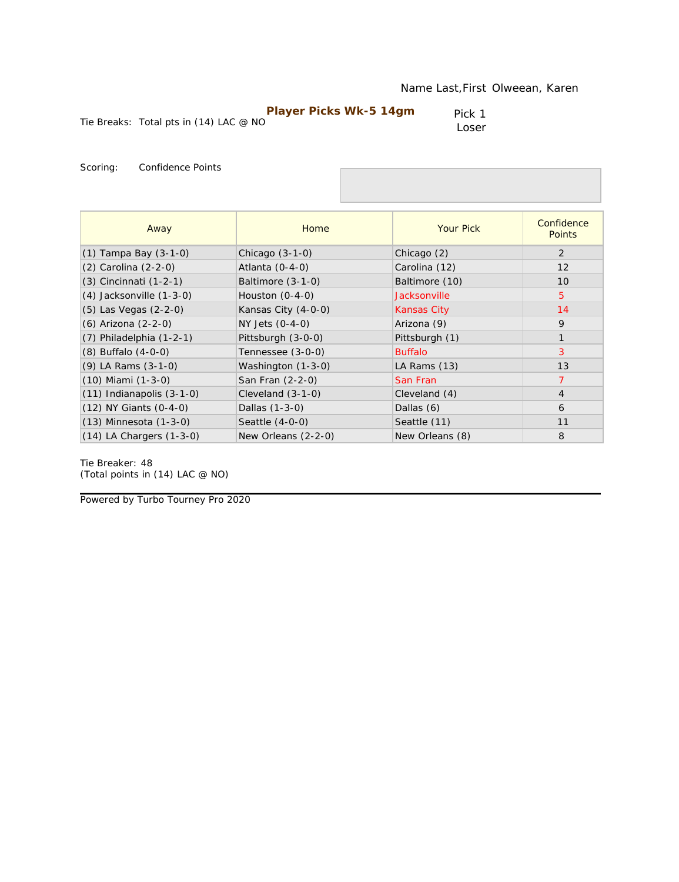|                                        | <b>Player Picks Wk-5 14gm</b> | Pick 1 |
|----------------------------------------|-------------------------------|--------|
| Tie Breaks: Total pts in (14) LAC @ NO |                               | Loser  |

Loser

Scoring: Confidence Points

| Away                          | Home                | <b>Your Pick</b>   | Confidence<br><b>Points</b> |
|-------------------------------|---------------------|--------------------|-----------------------------|
| $(1)$ Tampa Bay $(3-1-0)$     | Chicago $(3-1-0)$   | Chicago (2)        | 2                           |
| (2) Carolina (2-2-0)          | Atlanta $(0-4-0)$   | Carolina (12)      | 12                          |
| (3) Cincinnati (1-2-1)        | Baltimore (3-1-0)   | Baltimore (10)     | 10                          |
| $(4)$ Jacksonville $(1-3-0)$  | Houston $(0-4-0)$   | Jacksonville       | $\overline{5}$              |
| (5) Las Vegas (2-2-0)         | Kansas City (4-0-0) | <b>Kansas City</b> | 14                          |
| (6) Arizona (2-2-0)           | NY Jets (0-4-0)     | Arizona (9)        | 9                           |
| $(7)$ Philadelphia $(1-2-1)$  | Pittsburgh (3-0-0)  | Pittsburgh (1)     | $\mathbf{1}$                |
| $(8)$ Buffalo $(4-0-0)$       | Tennessee (3-0-0)   | <b>Buffalo</b>     | 3                           |
| $(9)$ LA Rams $(3-1-0)$       | Washington (1-3-0)  | LA Rams (13)       | 13                          |
| $(10)$ Miami $(1-3-0)$        | San Fran (2-2-0)    | San Fran           | $\overline{7}$              |
| $(11)$ Indianapolis $(3-1-0)$ | Cleveland $(3-1-0)$ | Cleveland (4)      | $\overline{4}$              |
| (12) NY Giants (0-4-0)        | Dallas (1-3-0)      | Dallas (6)         | 6                           |
| $(13)$ Minnesota $(1-3-0)$    | Seattle $(4-0-0)$   | Seattle (11)       | 11                          |
| $(14)$ LA Chargers $(1-3-0)$  | New Orleans (2-2-0) | New Orleans (8)    | 8                           |

Tie Breaker: 48 *(Total points in (14) LAC @ NO)*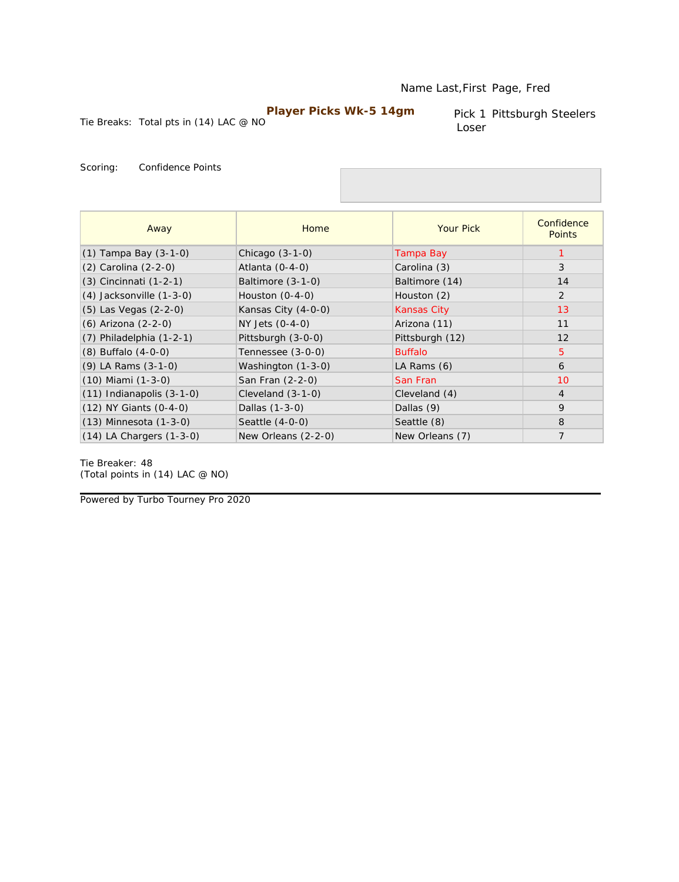#### Name Last,First Page, Fred

### **Player Picks Wk-5 14gm**

Tie Breaks: Total pts in (14) LAC @ NO

Pick 1 Pittsburgh Steelers Loser

Scoring: Confidence Points

| Away                          | Home                | <b>Your Pick</b>   | Confidence<br><b>Points</b> |
|-------------------------------|---------------------|--------------------|-----------------------------|
| $(1)$ Tampa Bay $(3-1-0)$     | Chicago $(3-1-0)$   | Tampa Bay          | 1                           |
| (2) Carolina (2-2-0)          | Atlanta $(0-4-0)$   | Carolina (3)       | 3                           |
| (3) Cincinnati (1-2-1)        | Baltimore (3-1-0)   | Baltimore (14)     | 14                          |
| $(4)$ Jacksonville $(1-3-0)$  | Houston $(0-4-0)$   | Houston (2)        | 2                           |
| $(5)$ Las Vegas $(2-2-0)$     | Kansas City (4-0-0) | <b>Kansas City</b> | 13                          |
| (6) Arizona (2-2-0)           | $NY$ Jets $(0-4-0)$ | Arizona (11)       | 11                          |
| $(7)$ Philadelphia $(1-2-1)$  | Pittsburgh (3-0-0)  | Pittsburgh (12)    | 12                          |
| $(8)$ Buffalo $(4-0-0)$       | Tennessee (3-0-0)   | <b>Buffalo</b>     | $\overline{5}$              |
| $(9)$ LA Rams $(3-1-0)$       | Washington (1-3-0)  | LA Rams (6)        | 6                           |
| $(10)$ Miami $(1-3-0)$        | San Fran (2-2-0)    | San Fran           | 10                          |
| $(11)$ Indianapolis $(3-1-0)$ | Cleveland $(3-1-0)$ | Cleveland (4)      | $\overline{4}$              |
| (12) NY Giants (0-4-0)        | Dallas (1-3-0)      | Dallas (9)         | 9                           |
| $(13)$ Minnesota $(1-3-0)$    | Seattle $(4-0-0)$   | Seattle (8)        | 8                           |
| $(14)$ LA Chargers $(1-3-0)$  | New Orleans (2-2-0) | New Orleans (7)    | $\overline{7}$              |

Tie Breaker: 48 *(Total points in (14) LAC @ NO)*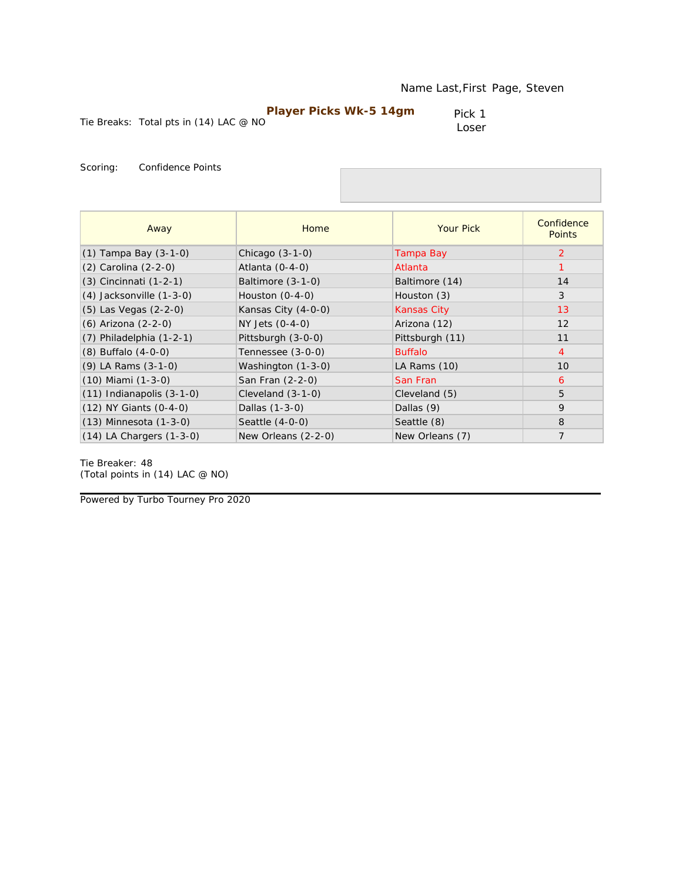|                                          | Player Picks Wk-5 14gm | Pick 1 |
|------------------------------------------|------------------------|--------|
| Tie Breaks: Total pts in $(14)$ LAC @ NO |                        | Loser  |

| Away                          | Home                | <b>Your Pick</b>   | Confidence<br><b>Points</b> |
|-------------------------------|---------------------|--------------------|-----------------------------|
| $(1)$ Tampa Bay $(3-1-0)$     | Chicago $(3-1-0)$   | Tampa Bay          | 2                           |
| (2) Carolina (2-2-0)          | Atlanta $(0-4-0)$   | Atlanta            |                             |
| (3) Cincinnati (1-2-1)        | Baltimore (3-1-0)   | Baltimore (14)     | 14                          |
| $(4)$ Jacksonville $(1-3-0)$  | Houston $(0-4-0)$   | Houston (3)        | 3                           |
| (5) Las Vegas (2-2-0)         | Kansas City (4-0-0) | <b>Kansas City</b> | 13                          |
| (6) Arizona (2-2-0)           | NY Jets (0-4-0)     | Arizona (12)       | 12                          |
| $(7)$ Philadelphia $(1-2-1)$  | Pittsburgh (3-0-0)  | Pittsburgh (11)    | 11                          |
| $(8)$ Buffalo $(4-0-0)$       | Tennessee (3-0-0)   | <b>Buffalo</b>     | $\overline{4}$              |
| $(9)$ LA Rams $(3-1-0)$       | Washington (1-3-0)  | LA Rams (10)       | 10                          |
| $(10)$ Miami $(1-3-0)$        | San Fran (2-2-0)    | San Fran           | 6                           |
| $(11)$ Indianapolis $(3-1-0)$ | Cleveland $(3-1-0)$ | Cleveland (5)      | 5                           |
| $(12)$ NY Giants $(0-4-0)$    | Dallas (1-3-0)      | Dallas (9)         | 9                           |
| $(13)$ Minnesota $(1-3-0)$    | Seattle $(4-0-0)$   | Seattle (8)        | 8                           |
| $(14)$ LA Chargers $(1-3-0)$  | New Orleans (2-2-0) | New Orleans (7)    | $\overline{7}$              |

Tie Breaker: 48 *(Total points in (14) LAC @ NO)*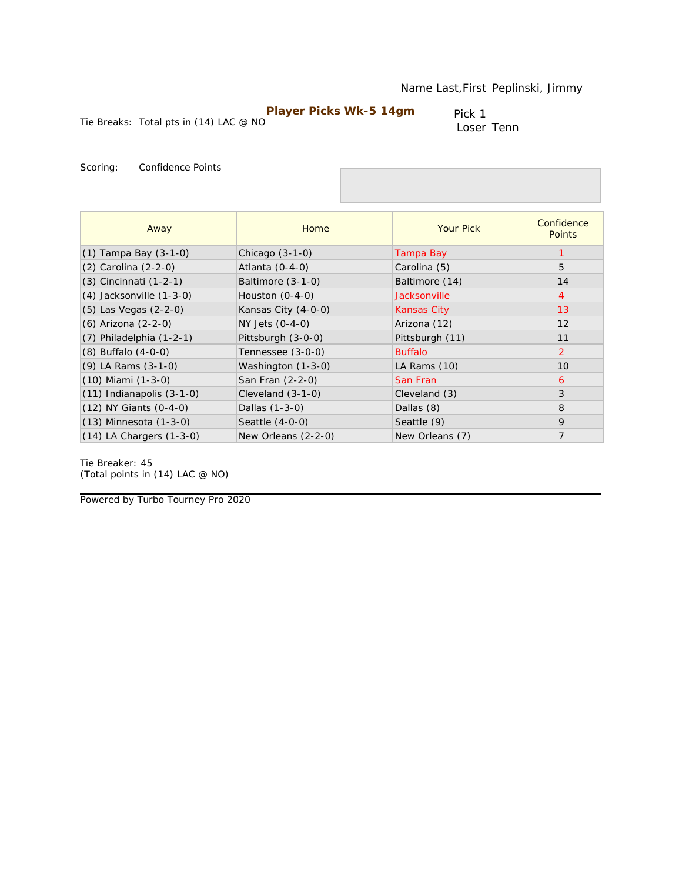Tie Breaks: Total pts in (14) LAC @ NO

Pick 1 Loser Tenn

Scoring: Confidence Points

| Away                          | Home                | <b>Your Pick</b>   | Confidence<br><b>Points</b> |
|-------------------------------|---------------------|--------------------|-----------------------------|
| $(1)$ Tampa Bay $(3-1-0)$     | Chicago $(3-1-0)$   | Tampa Bay          |                             |
| (2) Carolina (2-2-0)          | Atlanta $(0-4-0)$   | Carolina (5)       | 5                           |
| (3) Cincinnati (1-2-1)        | Baltimore (3-1-0)   | Baltimore (14)     | 14                          |
| $(4)$ Jacksonville $(1-3-0)$  | Houston $(0-4-0)$   | Jacksonville       | $\overline{4}$              |
| (5) Las Vegas (2-2-0)         | Kansas City (4-0-0) | <b>Kansas City</b> | 13                          |
| (6) Arizona (2-2-0)           | NY Jets (0-4-0)     | Arizona (12)       | 12                          |
| $(7)$ Philadelphia $(1-2-1)$  | Pittsburgh (3-0-0)  | Pittsburgh (11)    | 11                          |
| $(8)$ Buffalo $(4-0-0)$       | Tennessee (3-0-0)   | <b>Buffalo</b>     | $\overline{2}$              |
| $(9)$ LA Rams $(3-1-0)$       | Washington (1-3-0)  | LA Rams (10)       | 10                          |
| $(10)$ Miami $(1-3-0)$        | San Fran (2-2-0)    | San Fran           | 6                           |
| $(11)$ Indianapolis $(3-1-0)$ | Cleveland $(3-1-0)$ | Cleveland (3)      | 3                           |
| $(12)$ NY Giants $(0-4-0)$    | Dallas (1-3-0)      | Dallas (8)         | 8                           |
| $(13)$ Minnesota $(1-3-0)$    | Seattle $(4-0-0)$   | Seattle (9)        | 9                           |
| $(14)$ LA Chargers $(1-3-0)$  | New Orleans (2-2-0) | New Orleans (7)    | $\overline{7}$              |

Tie Breaker: 45 *(Total points in (14) LAC @ NO)*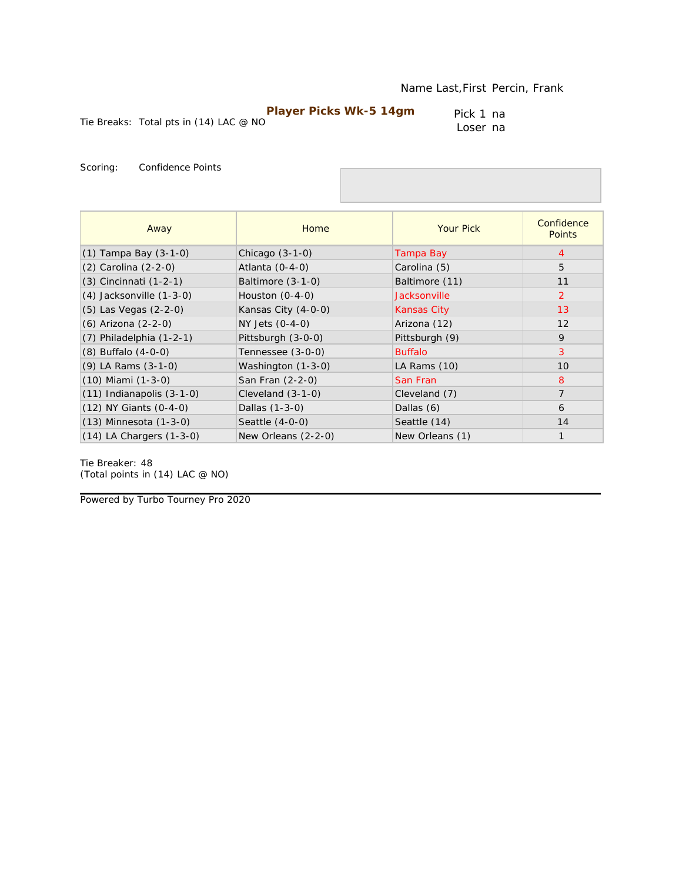Tie Breaks: Total pts in (14) LAC @ NO

Pick 1 na Loser na

Scoring: Confidence Points

| Away                          | Home                | <b>Your Pick</b>   | Confidence<br><b>Points</b> |
|-------------------------------|---------------------|--------------------|-----------------------------|
| $(1)$ Tampa Bay $(3-1-0)$     | Chicago $(3-1-0)$   | Tampa Bay          | 4                           |
| (2) Carolina (2-2-0)          | Atlanta $(0-4-0)$   | Carolina (5)       | 5                           |
| (3) Cincinnati (1-2-1)        | Baltimore $(3-1-0)$ | Baltimore (11)     | 11                          |
| $(4)$ Jacksonville $(1-3-0)$  | Houston $(0-4-0)$   | Jacksonville       | 2                           |
| (5) Las Vegas (2-2-0)         | Kansas City (4-0-0) | <b>Kansas City</b> | 13                          |
| (6) Arizona (2-2-0)           | NY Jets (0-4-0)     | Arizona (12)       | 12                          |
| $(7)$ Philadelphia $(1-2-1)$  | Pittsburgh (3-0-0)  | Pittsburgh (9)     | 9                           |
| $(8)$ Buffalo $(4-0-0)$       | Tennessee (3-0-0)   | <b>Buffalo</b>     | 3                           |
| $(9)$ LA Rams $(3-1-0)$       | Washington (1-3-0)  | LA Rams (10)       | 10                          |
| $(10)$ Miami $(1-3-0)$        | San Fran (2-2-0)    | San Fran           | 8                           |
| $(11)$ Indianapolis $(3-1-0)$ | Cleveland $(3-1-0)$ | Cleveland (7)      | $\overline{7}$              |
| (12) NY Giants (0-4-0)        | Dallas (1-3-0)      | Dallas (6)         | 6                           |
| $(13)$ Minnesota $(1-3-0)$    | Seattle $(4-0-0)$   | Seattle (14)       | 14                          |
| $(14)$ LA Chargers $(1-3-0)$  | New Orleans (2-2-0) | New Orleans (1)    | $\mathbf{1}$                |

Tie Breaker: 48 *(Total points in (14) LAC @ NO)*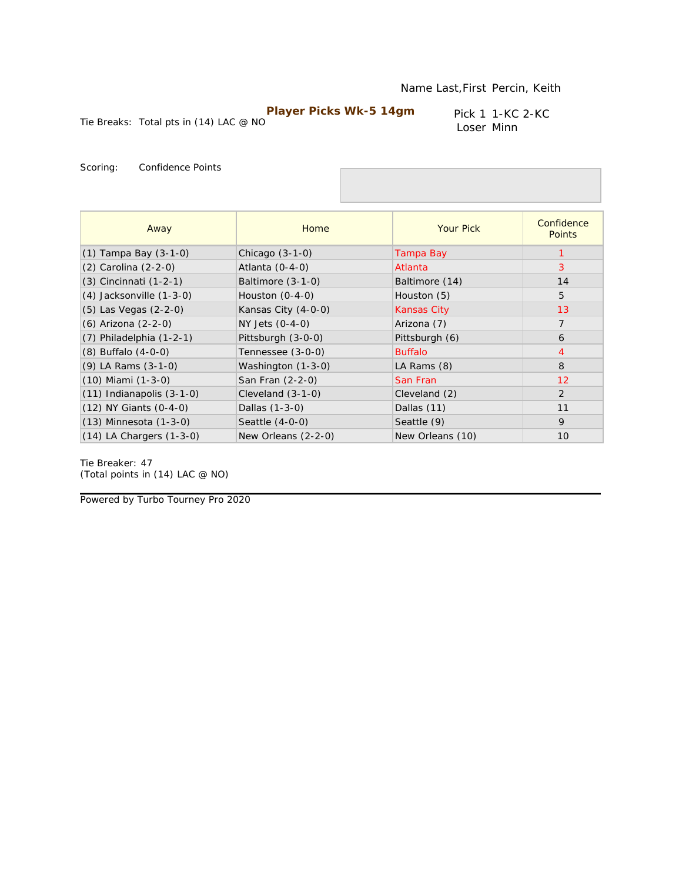Pick 1 1-KC 2-KC Loser Minn

Tie Breaks: Total pts in (14) LAC @ NO

Scoring: Confidence Points

| Away                          | Home                | <b>Your Pick</b>   | Confidence<br><b>Points</b> |
|-------------------------------|---------------------|--------------------|-----------------------------|
| $(1)$ Tampa Bay $(3-1-0)$     | Chicago $(3-1-0)$   | Tampa Bay          |                             |
| (2) Carolina (2-2-0)          | Atlanta $(0-4-0)$   | Atlanta            | 3                           |
| (3) Cincinnati (1-2-1)        | Baltimore (3-1-0)   | Baltimore (14)     | 14                          |
| $(4)$ Jacksonville $(1-3-0)$  | Houston $(0-4-0)$   | Houston (5)        | 5                           |
| (5) Las Vegas (2-2-0)         | Kansas City (4-0-0) | <b>Kansas City</b> | 13                          |
| (6) Arizona (2-2-0)           | NY Jets (0-4-0)     | Arizona (7)        | $\overline{7}$              |
| $(7)$ Philadelphia $(1-2-1)$  | Pittsburgh (3-0-0)  | Pittsburgh (6)     | 6                           |
| $(8)$ Buffalo $(4-0-0)$       | Tennessee (3-0-0)   | <b>Buffalo</b>     | $\overline{4}$              |
| $(9)$ LA Rams $(3-1-0)$       | Washington (1-3-0)  | LA Rams (8)        | 8                           |
| $(10)$ Miami $(1-3-0)$        | San Fran (2-2-0)    | San Fran           | 12                          |
| $(11)$ Indianapolis $(3-1-0)$ | Cleveland $(3-1-0)$ | Cleveland (2)      | 2                           |
| $(12)$ NY Giants $(0-4-0)$    | Dallas (1-3-0)      | Dallas (11)        | 11                          |
| $(13)$ Minnesota $(1-3-0)$    | Seattle (4-0-0)     | Seattle (9)        | 9                           |
| $(14)$ LA Chargers $(1-3-0)$  | New Orleans (2-2-0) | New Orleans (10)   | 10                          |

Tie Breaker: 47 *(Total points in (14) LAC @ NO)*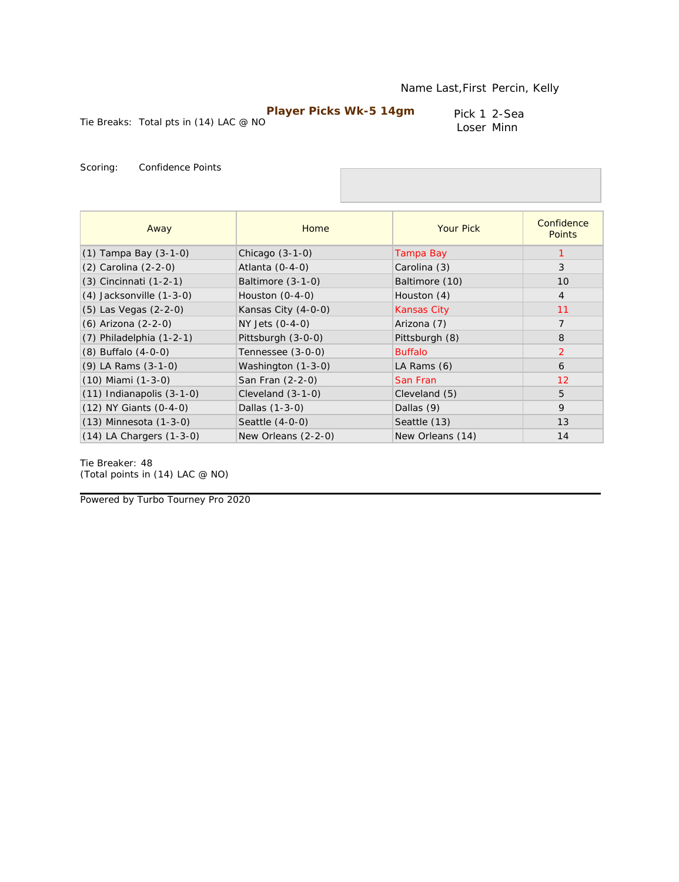Pick 1 2-Sea Loser Minn

Tie Breaks: Total pts in (14) LAC @ NO

Scoring: Confidence Points

| Away                          | Home                | <b>Your Pick</b>   | Confidence<br><b>Points</b> |
|-------------------------------|---------------------|--------------------|-----------------------------|
| $(1)$ Tampa Bay $(3-1-0)$     | Chicago $(3-1-0)$   | Tampa Bay          |                             |
| (2) Carolina (2-2-0)          | Atlanta $(0-4-0)$   | Carolina (3)       | 3                           |
| $(3)$ Cincinnati $(1-2-1)$    | Baltimore (3-1-0)   | Baltimore (10)     | 10                          |
| $(4)$ Jacksonville $(1-3-0)$  | Houston $(0-4-0)$   | Houston (4)        | $\overline{4}$              |
| $(5)$ Las Vegas $(2-2-0)$     | Kansas City (4-0-0) | <b>Kansas City</b> | 11                          |
| (6) Arizona (2-2-0)           | NY Jets (0-4-0)     | Arizona (7)        | $\overline{7}$              |
| $(7)$ Philadelphia $(1-2-1)$  | Pittsburgh (3-0-0)  | Pittsburgh (8)     | 8                           |
| $(8)$ Buffalo $(4-0-0)$       | Tennessee (3-0-0)   | <b>Buffalo</b>     | $\overline{2}$              |
| $(9)$ LA Rams $(3-1-0)$       | Washington (1-3-0)  | LA Rams (6)        | 6                           |
| $(10)$ Miami $(1-3-0)$        | San Fran (2-2-0)    | San Fran           | 12                          |
| $(11)$ Indianapolis $(3-1-0)$ | Cleveland $(3-1-0)$ | Cleveland (5)      | 5                           |
| $(12)$ NY Giants $(0-4-0)$    | Dallas (1-3-0)      | Dallas (9)         | 9                           |
| $(13)$ Minnesota $(1-3-0)$    | Seattle (4-0-0)     | Seattle (13)       | 13                          |
| $(14)$ LA Chargers $(1-3-0)$  | New Orleans (2-2-0) | New Orleans (14)   | 14                          |

Tie Breaker: 48 *(Total points in (14) LAC @ NO)*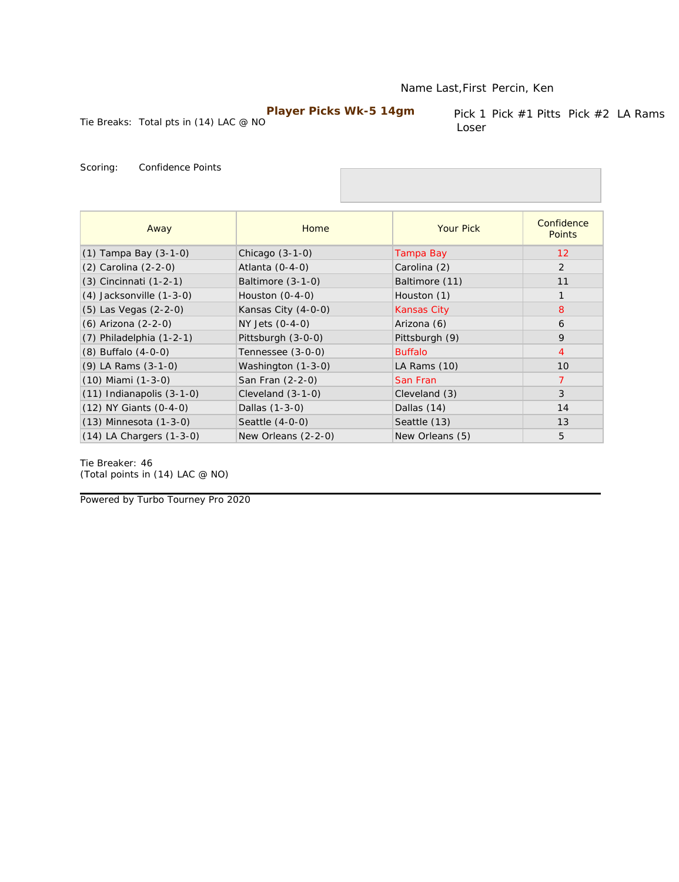#### Name Last,First Percin, Ken

### **Player Picks Wk-5 14gm**

Tie Breaks: Total pts in (14) LAC @ NO

Pick 1 Pick #1 Pitts Pick #2 LA Rams Loser

Scoring: Confidence Points

| Away                          | Home                | <b>Your Pick</b>   | Confidence<br><b>Points</b> |
|-------------------------------|---------------------|--------------------|-----------------------------|
| $(1)$ Tampa Bay $(3-1-0)$     | Chicago (3-1-0)     | Tampa Bay          | 12                          |
| (2) Carolina (2-2-0)          | Atlanta $(0-4-0)$   | Carolina (2)       | 2                           |
| $(3)$ Cincinnati $(1-2-1)$    | Baltimore $(3-1-0)$ | Baltimore (11)     | 11                          |
| $(4)$ Jacksonville $(1-3-0)$  | Houston $(0-4-0)$   | Houston (1)        | $\mathbf{1}$                |
| (5) Las Vegas (2-2-0)         | Kansas City (4-0-0) | <b>Kansas City</b> | 8                           |
| (6) Arizona (2-2-0)           | NY Jets (0-4-0)     | Arizona (6)        | 6                           |
| $(7)$ Philadelphia $(1-2-1)$  | Pittsburgh (3-0-0)  | Pittsburgh (9)     | 9                           |
| $(8)$ Buffalo $(4-0-0)$       | Tennessee (3-0-0)   | <b>Buffalo</b>     | $\overline{4}$              |
| (9) LA Rams (3-1-0)           | Washington (1-3-0)  | LA Rams (10)       | 10                          |
| $(10)$ Miami $(1-3-0)$        | San Fran (2-2-0)    | San Fran           | $\overline{7}$              |
| $(11)$ Indianapolis $(3-1-0)$ | Cleveland $(3-1-0)$ | Cleveland (3)      | 3                           |
| $(12)$ NY Giants $(0-4-0)$    | Dallas (1-3-0)      | Dallas (14)        | 14                          |
| $(13)$ Minnesota $(1-3-0)$    | Seattle $(4-0-0)$   | Seattle (13)       | 13                          |
| $(14)$ LA Chargers $(1-3-0)$  | New Orleans (2-2-0) | New Orleans (5)    | 5                           |

Tie Breaker: 46 *(Total points in (14) LAC @ NO)*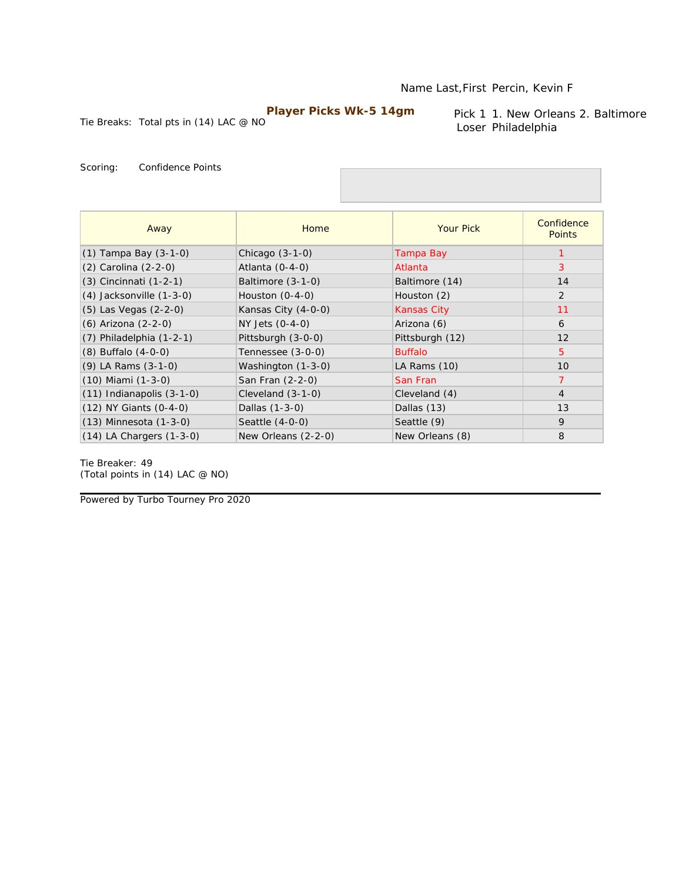Tie Breaks: Total pts in (14) LAC @ NO

Pick 1 1. New Orleans 2. Baltimore Loser Philadelphia

Scoring: Confidence Points

| Away                          | Home                | <b>Your Pick</b>   | Confidence<br><b>Points</b> |
|-------------------------------|---------------------|--------------------|-----------------------------|
| $(1)$ Tampa Bay $(3-1-0)$     | Chicago $(3-1-0)$   | Tampa Bay          |                             |
| (2) Carolina (2-2-0)          | Atlanta $(0-4-0)$   | Atlanta            | 3                           |
| $(3)$ Cincinnati $(1-2-1)$    | Baltimore (3-1-0)   | Baltimore (14)     | 14                          |
| $(4)$ Jacksonville $(1-3-0)$  | Houston $(0-4-0)$   | Houston (2)        | $\overline{2}$              |
| $(5)$ Las Vegas $(2-2-0)$     | Kansas City (4-0-0) | <b>Kansas City</b> | 11                          |
| (6) Arizona (2-2-0)           | NY Jets (0-4-0)     | Arizona (6)        | 6                           |
| $(7)$ Philadelphia $(1-2-1)$  | Pittsburgh (3-0-0)  | Pittsburgh (12)    | 12                          |
| $(8)$ Buffalo $(4-0-0)$       | Tennessee (3-0-0)   | <b>Buffalo</b>     | 5                           |
| (9) LA Rams (3-1-0)           | Washington (1-3-0)  | LA Rams $(10)$     | 10                          |
| $(10)$ Miami $(1-3-0)$        | San Fran (2-2-0)    | San Fran           | $\overline{7}$              |
| $(11)$ Indianapolis $(3-1-0)$ | Cleveland $(3-1-0)$ | Cleveland (4)      | $\overline{4}$              |
| $(12)$ NY Giants $(0-4-0)$    | Dallas (1-3-0)      | Dallas (13)        | 13                          |
| $(13)$ Minnesota $(1-3-0)$    | Seattle (4-0-0)     | Seattle (9)        | 9                           |
| $(14)$ LA Chargers $(1-3-0)$  | New Orleans (2-2-0) | New Orleans (8)    | 8                           |

Tie Breaker: 49 *(Total points in (14) LAC @ NO)*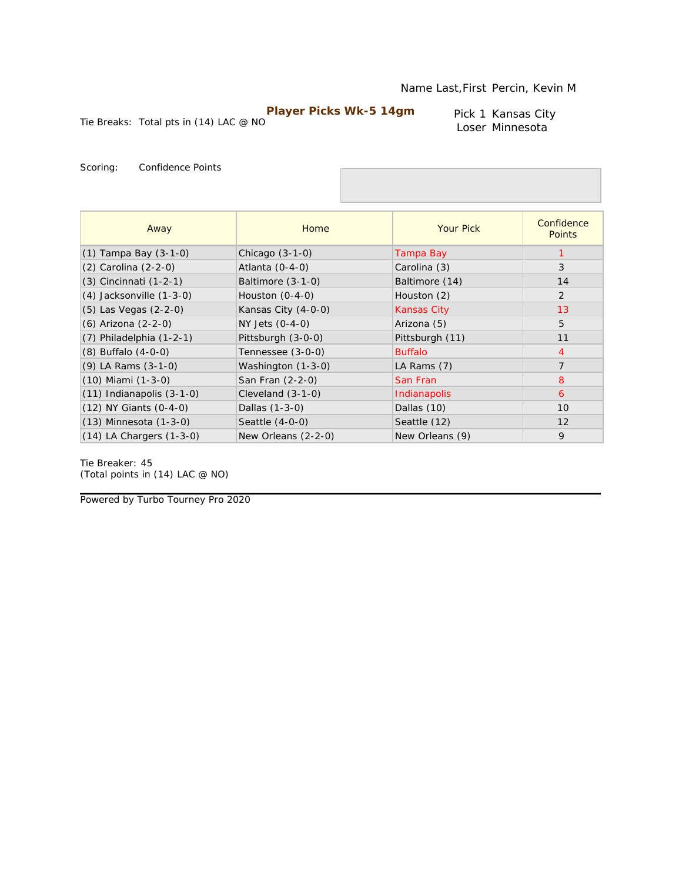Tie Breaks: Total pts in (14) LAC @ NO

Pick 1 Kansas City Loser Minnesota

Scoring: Confidence Points

| Away                          | Home                | <b>Your Pick</b>   | Confidence<br><b>Points</b> |
|-------------------------------|---------------------|--------------------|-----------------------------|
| $(1)$ Tampa Bay $(3-1-0)$     | Chicago $(3-1-0)$   | Tampa Bay          |                             |
| (2) Carolina (2-2-0)          | Atlanta $(0-4-0)$   | Carolina (3)       | 3                           |
| (3) Cincinnati (1-2-1)        | Baltimore (3-1-0)   | Baltimore (14)     | 14                          |
| $(4)$ Jacksonville $(1-3-0)$  | Houston $(0-4-0)$   | Houston (2)        | 2                           |
| (5) Las Vegas (2-2-0)         | Kansas City (4-0-0) | <b>Kansas City</b> | 13                          |
| (6) Arizona (2-2-0)           | NY Jets (0-4-0)     | Arizona (5)        | 5                           |
| $(7)$ Philadelphia $(1-2-1)$  | Pittsburgh (3-0-0)  | Pittsburgh (11)    | 11                          |
| $(8)$ Buffalo $(4-0-0)$       | Tennessee (3-0-0)   | <b>Buffalo</b>     | $\overline{4}$              |
| $(9)$ LA Rams $(3-1-0)$       | Washington (1-3-0)  | LA Rams (7)        | $\overline{7}$              |
| $(10)$ Miami $(1-3-0)$        | San Fran (2-2-0)    | San Fran           | 8                           |
| $(11)$ Indianapolis $(3-1-0)$ | Cleveland $(3-1-0)$ | Indianapolis       | 6                           |
| (12) NY Giants (0-4-0)        | Dallas (1-3-0)      | Dallas (10)        | 10                          |
| $(13)$ Minnesota $(1-3-0)$    | Seattle $(4-0-0)$   | Seattle (12)       | 12                          |
| $(14)$ LA Chargers $(1-3-0)$  | New Orleans (2-2-0) | New Orleans (9)    | 9                           |

Tie Breaker: 45 *(Total points in (14) LAC @ NO)*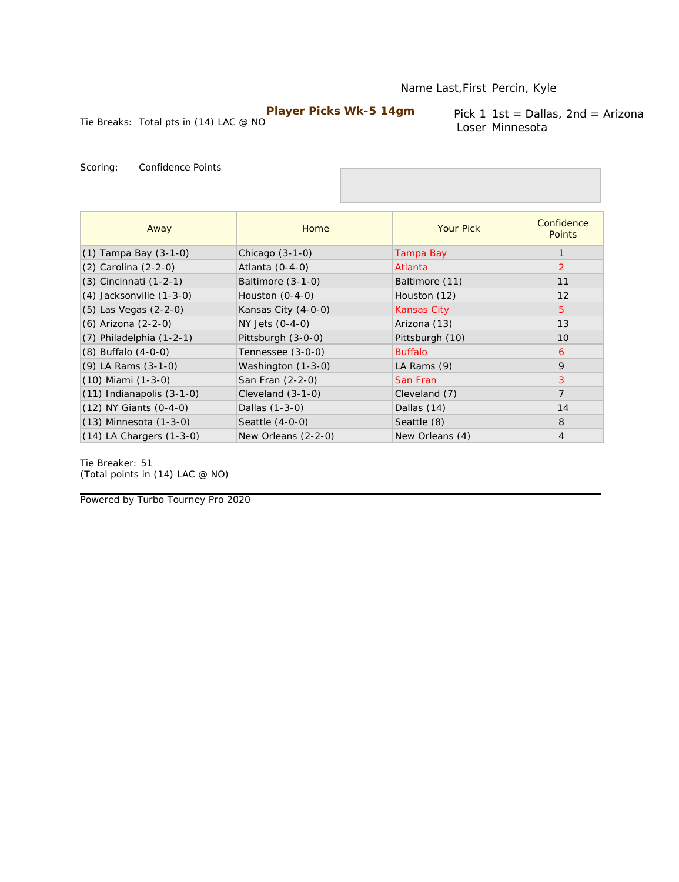Tie Breaks: Total pts in (14) LAC @ NO

Pick 1 1st = Dallas, 2nd = Arizona Loser Minnesota

Scoring: Confidence Points

| Away                          | Home                | <b>Your Pick</b>   | Confidence<br><b>Points</b> |
|-------------------------------|---------------------|--------------------|-----------------------------|
| $(1)$ Tampa Bay $(3-1-0)$     | Chicago $(3-1-0)$   | Tampa Bay          |                             |
| (2) Carolina (2-2-0)          | Atlanta $(0-4-0)$   | Atlanta            | $\overline{2}$              |
| (3) Cincinnati (1-2-1)        | Baltimore $(3-1-0)$ | Baltimore (11)     | 11                          |
| $(4)$ Jacksonville $(1-3-0)$  | Houston $(0-4-0)$   | Houston (12)       | 12                          |
| $(5)$ Las Vegas $(2-2-0)$     | Kansas City (4-0-0) | <b>Kansas City</b> | 5                           |
| (6) Arizona (2-2-0)           | NY Jets (0-4-0)     | Arizona (13)       | 13                          |
| $(7)$ Philadelphia $(1-2-1)$  | Pittsburgh (3-0-0)  | Pittsburgh (10)    | 10                          |
| $(8)$ Buffalo $(4-0-0)$       | Tennessee (3-0-0)   | <b>Buffalo</b>     | 6                           |
| $(9)$ LA Rams $(3-1-0)$       | Washington (1-3-0)  | LA Rams $(9)$      | 9                           |
| (10) Miami (1-3-0)            | San Fran (2-2-0)    | San Fran           | 3                           |
| $(11)$ Indianapolis $(3-1-0)$ | Cleveland $(3-1-0)$ | Cleveland (7)      | $\overline{7}$              |
| $(12)$ NY Giants $(0-4-0)$    | Dallas (1-3-0)      | Dallas (14)        | 14                          |
| $(13)$ Minnesota $(1-3-0)$    | Seattle (4-0-0)     | Seattle (8)        | 8                           |
| $(14)$ LA Chargers $(1-3-0)$  | New Orleans (2-2-0) | New Orleans (4)    | $\overline{4}$              |

Tie Breaker: 51 *(Total points in (14) LAC @ NO)*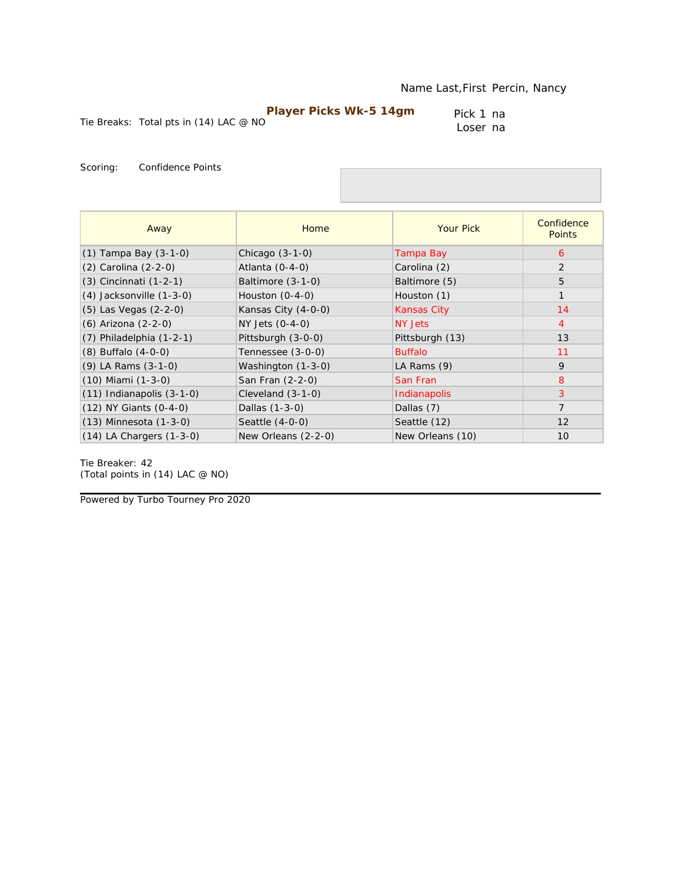Pick 1 na Loser na

Tie Breaks: Total pts in (14) LAC @ NO

Scoring: Confidence Points

| Away                          | Home                | <b>Your Pick</b>   | Confidence<br><b>Points</b> |
|-------------------------------|---------------------|--------------------|-----------------------------|
| $(1)$ Tampa Bay $(3-1-0)$     | Chicago $(3-1-0)$   | Tampa Bay          | 6                           |
| (2) Carolina (2-2-0)          | Atlanta $(0-4-0)$   | Carolina (2)       | 2                           |
| $(3)$ Cincinnati $(1-2-1)$    | Baltimore $(3-1-0)$ | Baltimore (5)      | 5                           |
| $(4)$ Jacksonville $(1-3-0)$  | Houston $(0-4-0)$   | Houston (1)        | $\mathbf{1}$                |
| (5) Las Vegas (2-2-0)         | Kansas City (4-0-0) | <b>Kansas City</b> | 14                          |
| (6) Arizona (2-2-0)           | NY Jets (0-4-0)     | NY Jets            | $\overline{4}$              |
| $(7)$ Philadelphia $(1-2-1)$  | Pittsburgh (3-0-0)  | Pittsburgh (13)    | 13                          |
| $(8)$ Buffalo $(4-0-0)$       | Tennessee (3-0-0)   | <b>Buffalo</b>     | 11                          |
| (9) LA Rams (3-1-0)           | Washington (1-3-0)  | LA Rams $(9)$      | 9                           |
| $(10)$ Miami $(1-3-0)$        | San Fran (2-2-0)    | San Fran           | 8                           |
| $(11)$ Indianapolis $(3-1-0)$ | Cleveland $(3-1-0)$ | Indianapolis       | 3                           |
| $(12)$ NY Giants $(0-4-0)$    | Dallas (1-3-0)      | Dallas (7)         | $\overline{7}$              |
| $(13)$ Minnesota $(1-3-0)$    | Seattle (4-0-0)     | Seattle (12)       | 12                          |
| $(14)$ LA Chargers $(1-3-0)$  | New Orleans (2-2-0) | New Orleans (10)   | 10                          |

Tie Breaker: 42 *(Total points in (14) LAC @ NO)*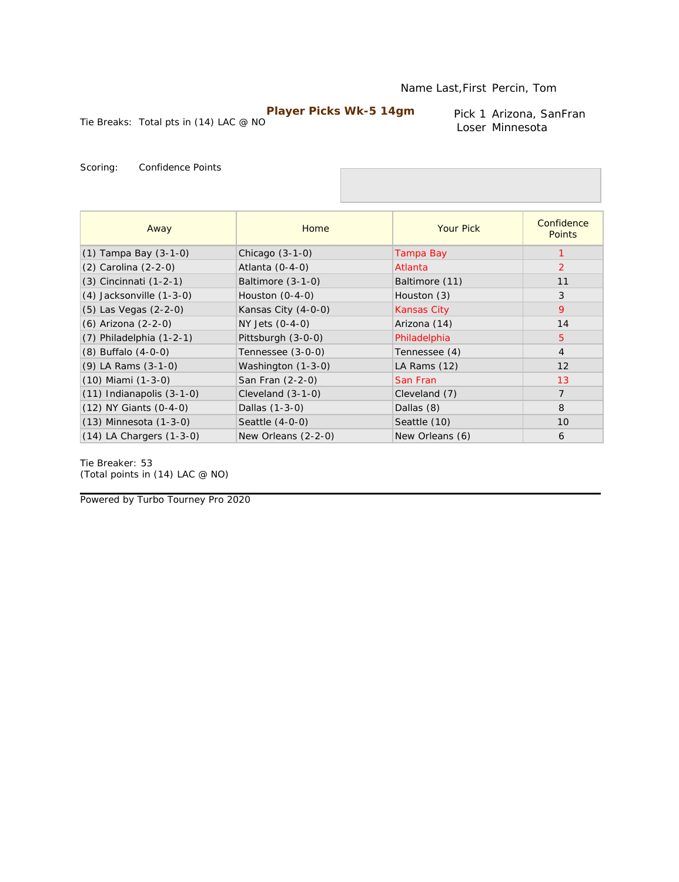Tie Breaks: Total pts in (14) LAC @ NO

Pick 1 Arizona, SanFran Loser Minnesota

Scoring: Confidence Points

| Away                          | Home                | <b>Your Pick</b>   | Confidence<br><b>Points</b> |
|-------------------------------|---------------------|--------------------|-----------------------------|
| $(1)$ Tampa Bay $(3-1-0)$     | Chicago $(3-1-0)$   | Tampa Bay          |                             |
| (2) Carolina (2-2-0)          | Atlanta (0-4-0)     | Atlanta            | 2                           |
| $(3)$ Cincinnati $(1-2-1)$    | Baltimore (3-1-0)   | Baltimore (11)     | 11                          |
| $(4)$ Jacksonville $(1-3-0)$  | Houston $(0-4-0)$   | Houston (3)        | 3                           |
| $(5)$ Las Vegas $(2-2-0)$     | Kansas City (4-0-0) | <b>Kansas City</b> | 9                           |
| (6) Arizona (2-2-0)           | NY Jets (0-4-0)     | Arizona (14)       | 14                          |
| $(7)$ Philadelphia $(1-2-1)$  | Pittsburgh (3-0-0)  | Philadelphia       | $5^{\circ}$                 |
| $(8)$ Buffalo $(4-0-0)$       | Tennessee (3-0-0)   | Tennessee (4)      | $\overline{4}$              |
| $(9)$ LA Rams $(3-1-0)$       | Washington (1-3-0)  | LA Rams $(12)$     | 12                          |
| $(10)$ Miami $(1-3-0)$        | San Fran (2-2-0)    | San Fran           | 13                          |
| $(11)$ Indianapolis $(3-1-0)$ | Cleveland $(3-1-0)$ | Cleveland (7)      | $\overline{7}$              |
| $(12)$ NY Giants $(0-4-0)$    | Dallas (1-3-0)      | Dallas (8)         | 8                           |
| $(13)$ Minnesota $(1-3-0)$    | Seattle (4-0-0)     | Seattle (10)       | 10                          |
| $(14)$ LA Chargers $(1-3-0)$  | New Orleans (2-2-0) | New Orleans (6)    | 6                           |

Tie Breaker: 53 *(Total points in (14) LAC @ NO)*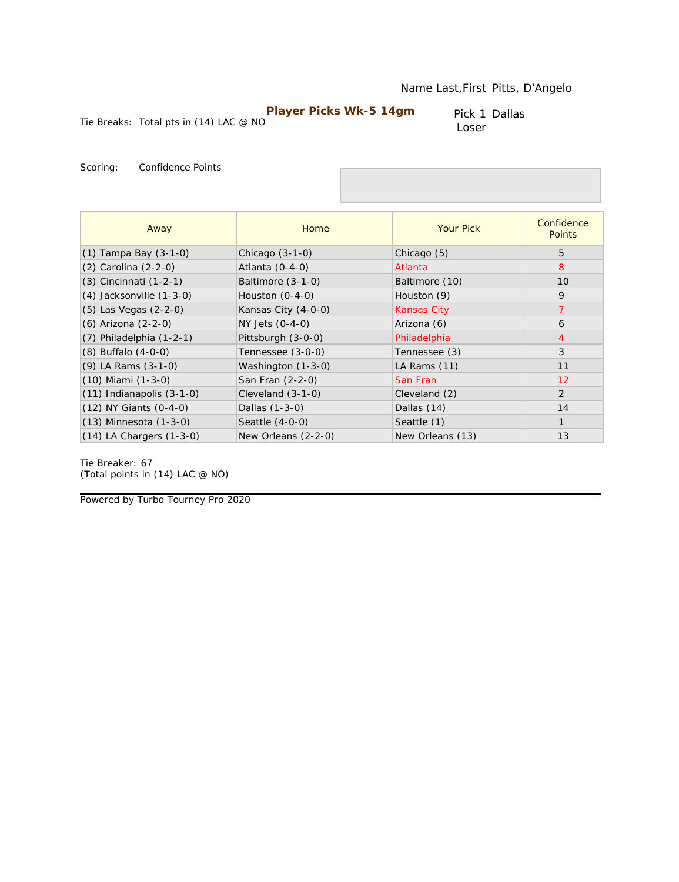Pick 1 Dallas Loser

Tie Breaks: Total pts in (14) LAC @ NO

Scoring: Confidence Points

| Away                          | Home                | <b>Your Pick</b> | Confidence<br><b>Points</b> |
|-------------------------------|---------------------|------------------|-----------------------------|
| $(1)$ Tampa Bay $(3-1-0)$     | Chicago $(3-1-0)$   | Chicago (5)      | 5                           |
| (2) Carolina (2-2-0)          | Atlanta $(0-4-0)$   | Atlanta          | 8                           |
| (3) Cincinnati (1-2-1)        | Baltimore (3-1-0)   | Baltimore (10)   | 10                          |
| (4) Jacksonville (1-3-0)      | Houston $(0-4-0)$   | Houston (9)      | 9                           |
| $(5)$ Las Vegas $(2-2-0)$     | Kansas City (4-0-0) | Kansas City      | $\overline{7}$              |
| (6) Arizona (2-2-0)           | $NY$ Jets $(0-4-0)$ | Arizona (6)      | 6                           |
| $(7)$ Philadelphia $(1-2-1)$  | Pittsburgh (3-0-0)  | Philadelphia     | $\overline{4}$              |
| $(8)$ Buffalo $(4-0-0)$       | Tennessee (3-0-0)   | Tennessee (3)    | 3                           |
| $(9)$ LA Rams $(3-1-0)$       | Washington (1-3-0)  | LA Rams (11)     | 11                          |
| (10) Miami (1-3-0)            | San Fran (2-2-0)    | San Fran         | 12                          |
| $(11)$ Indianapolis $(3-1-0)$ | Cleveland $(3-1-0)$ | Cleveland (2)    | $\overline{2}$              |
| $(12)$ NY Giants $(0-4-0)$    | Dallas (1-3-0)      | Dallas (14)      | 14                          |
| $(13)$ Minnesota $(1-3-0)$    | Seattle (4-0-0)     | Seattle (1)      | $\mathbf{1}$                |
| $(14)$ LA Chargers $(1-3-0)$  | New Orleans (2-2-0) | New Orleans (13) | 13                          |

Tie Breaker: 67 *(Total points in (14) LAC @ NO)*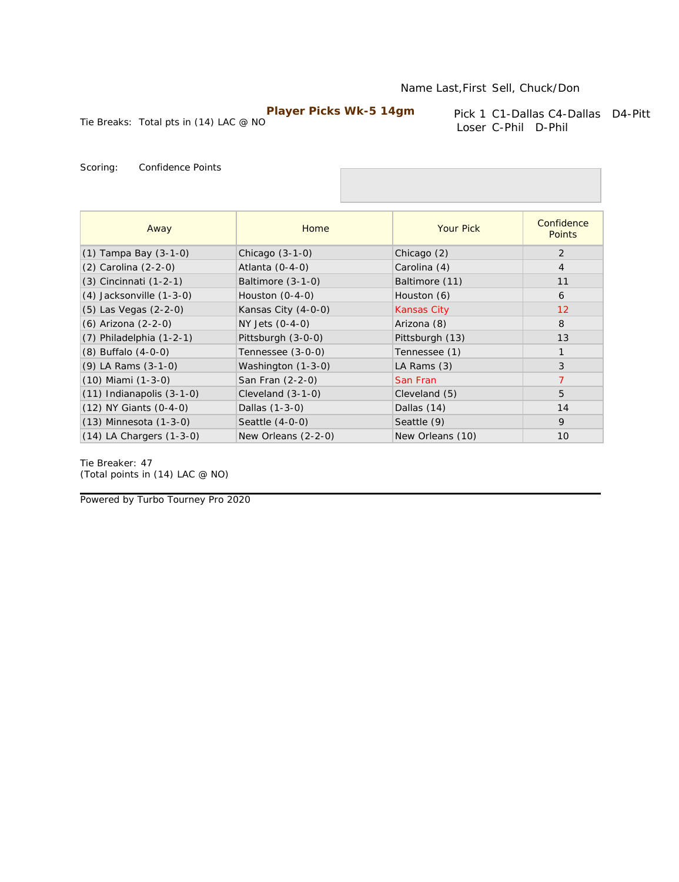Tie Breaks: Total pts in (14) LAC @ NO

Pick 1 C1-Dallas C4-Dallas D4-Pitt Loser C-Phil D-Phil

Scoring: Confidence Points

| Away                          | Home                | <b>Your Pick</b>   | Confidence<br><b>Points</b> |
|-------------------------------|---------------------|--------------------|-----------------------------|
| $(1)$ Tampa Bay $(3-1-0)$     | Chicago $(3-1-0)$   | Chicago (2)        | 2                           |
| $(2)$ Carolina $(2-2-0)$      | Atlanta $(0-4-0)$   | Carolina (4)       | $\overline{4}$              |
| $(3)$ Cincinnati $(1-2-1)$    | Baltimore (3-1-0)   | Baltimore (11)     | 11                          |
| $(4)$ Jacksonville $(1-3-0)$  | Houston $(0-4-0)$   | Houston (6)        | 6                           |
| $(5)$ Las Vegas $(2-2-0)$     | Kansas City (4-0-0) | <b>Kansas City</b> | 12                          |
| (6) Arizona (2-2-0)           | NY Jets (0-4-0)     | Arizona (8)        | 8                           |
| $(7)$ Philadelphia $(1-2-1)$  | Pittsburgh (3-0-0)  | Pittsburgh (13)    | 13                          |
| $(8)$ Buffalo $(4-0-0)$       | Tennessee (3-0-0)   | Tennessee (1)      | $\mathbf{1}$                |
| (9) LA Rams (3-1-0)           | Washington (1-3-0)  | LA Rams (3)        | 3                           |
| $(10)$ Miami $(1-3-0)$        | San Fran (2-2-0)    | San Fran           | $\overline{7}$              |
| $(11)$ Indianapolis $(3-1-0)$ | Cleveland (3-1-0)   | Cleveland (5)      | 5                           |
| $(12)$ NY Giants $(0-4-0)$    | Dallas (1-3-0)      | Dallas (14)        | 14                          |
| $(13)$ Minnesota $(1-3-0)$    | Seattle (4-0-0)     | Seattle (9)        | 9                           |
| $(14)$ LA Chargers $(1-3-0)$  | New Orleans (2-2-0) | New Orleans (10)   | 10                          |

Tie Breaker: 47 *(Total points in (14) LAC @ NO)*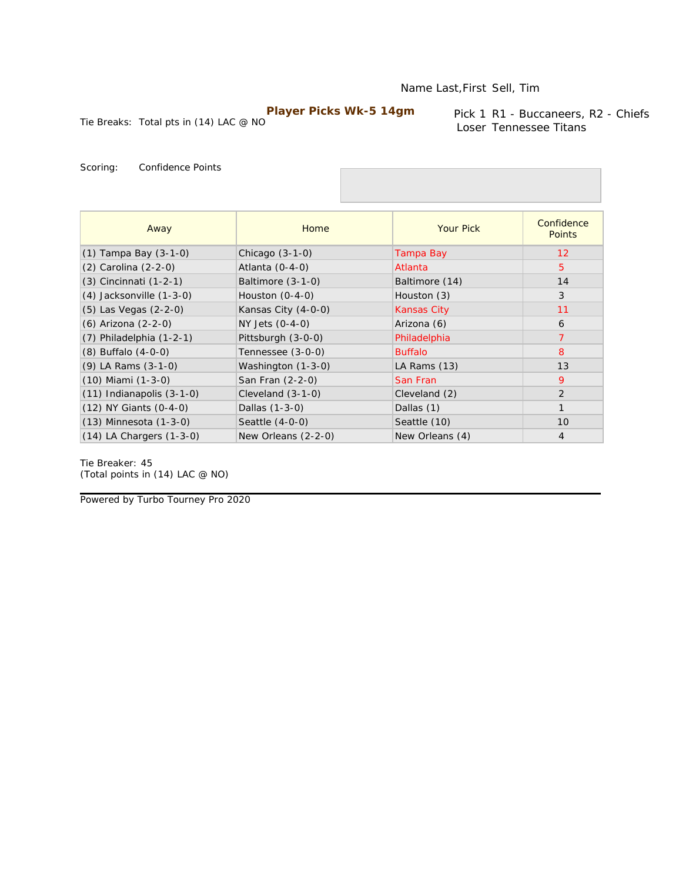Tie Breaks: Total pts in (14) LAC @ NO

Pick 1 R1 - Buccaneers, R2 - Chiefs Loser Tennessee Titans

Scoring: Confidence Points

| Away                          | Home                | <b>Your Pick</b>   | Confidence<br><b>Points</b> |
|-------------------------------|---------------------|--------------------|-----------------------------|
| $(1)$ Tampa Bay $(3-1-0)$     | Chicago $(3-1-0)$   | Tampa Bay          | $12 \overline{ }$           |
| (2) Carolina (2-2-0)          | Atlanta $(0-4-0)$   | Atlanta            | 5                           |
| (3) Cincinnati (1-2-1)        | Baltimore $(3-1-0)$ | Baltimore (14)     | 14                          |
| $(4)$ Jacksonville $(1-3-0)$  | Houston $(0-4-0)$   | Houston (3)        | 3                           |
| $(5)$ Las Vegas $(2-2-0)$     | Kansas City (4-0-0) | <b>Kansas City</b> | 11                          |
| (6) Arizona (2-2-0)           | $NY$ Jets $(0-4-0)$ | Arizona (6)        | 6                           |
| $(7)$ Philadelphia $(1-2-1)$  | Pittsburgh (3-0-0)  | Philadelphia       | $\overline{7}$              |
| $(8)$ Buffalo $(4-0-0)$       | Tennessee (3-0-0)   | <b>Buffalo</b>     | 8                           |
| (9) LA Rams (3-1-0)           | Washington (1-3-0)  | LA Rams (13)       | 13                          |
| $(10)$ Miami $(1-3-0)$        | San Fran (2-2-0)    | San Fran           | 9                           |
| $(11)$ Indianapolis $(3-1-0)$ | Cleveland $(3-1-0)$ | Cleveland (2)      | $\overline{2}$              |
| $(12)$ NY Giants $(0-4-0)$    | Dallas (1-3-0)      | Dallas (1)         | $\mathbf{1}$                |
| $(13)$ Minnesota $(1-3-0)$    | Seattle (4-0-0)     | Seattle (10)       | 10                          |
| $(14)$ LA Chargers $(1-3-0)$  | New Orleans (2-2-0) | New Orleans (4)    | $\overline{4}$              |

Tie Breaker: 45 *(Total points in (14) LAC @ NO)*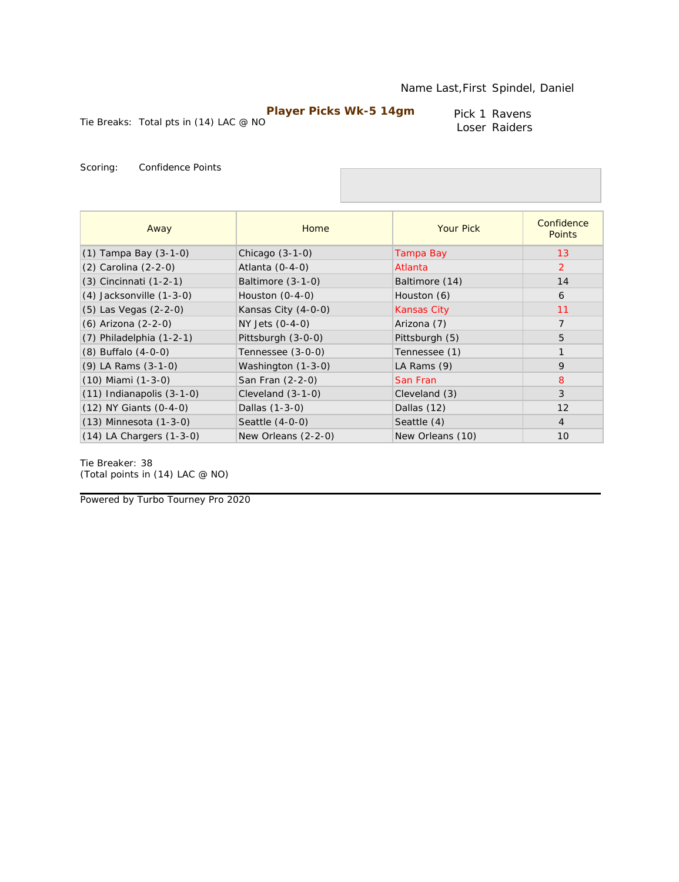Pick 1 Ravens Loser Raiders

Tie Breaks: Total pts in (14) LAC @ NO

Scoring: Confidence Points

| Away                          | Home                | <b>Your Pick</b>   | Confidence<br><b>Points</b> |
|-------------------------------|---------------------|--------------------|-----------------------------|
| $(1)$ Tampa Bay $(3-1-0)$     | Chicago $(3-1-0)$   | Tampa Bay          | 13                          |
| (2) Carolina (2-2-0)          | Atlanta $(0-4-0)$   | Atlanta            | $\overline{2}$              |
| $(3)$ Cincinnati $(1-2-1)$    | Baltimore (3-1-0)   | Baltimore (14)     | 14                          |
| $(4)$ Jacksonville $(1-3-0)$  | Houston $(0-4-0)$   | Houston (6)        | 6                           |
| (5) Las Vegas (2-2-0)         | Kansas City (4-0-0) | <b>Kansas City</b> | 11                          |
| (6) Arizona (2-2-0)           | NY Jets (0-4-0)     | Arizona (7)        | $\overline{7}$              |
| $(7)$ Philadelphia $(1-2-1)$  | Pittsburgh (3-0-0)  | Pittsburgh (5)     | 5                           |
| $(8)$ Buffalo $(4-0-0)$       | Tennessee (3-0-0)   | Tennessee (1)      | $\mathbf{1}$                |
| $(9)$ LA Rams $(3-1-0)$       | Washington (1-3-0)  | LA Rams (9)        | 9                           |
| $(10)$ Miami $(1-3-0)$        | San Fran (2-2-0)    | San Fran           | 8                           |
| $(11)$ Indianapolis $(3-1-0)$ | Cleveland $(3-1-0)$ | Cleveland (3)      | 3                           |
| $(12)$ NY Giants $(0-4-0)$    | Dallas (1-3-0)      | Dallas (12)        | 12                          |
| $(13)$ Minnesota $(1-3-0)$    | Seattle (4-0-0)     | Seattle (4)        | $\overline{4}$              |
| $(14)$ LA Chargers $(1-3-0)$  | New Orleans (2-2-0) | New Orleans (10)   | 10                          |

Tie Breaker: 38 *(Total points in (14) LAC @ NO)*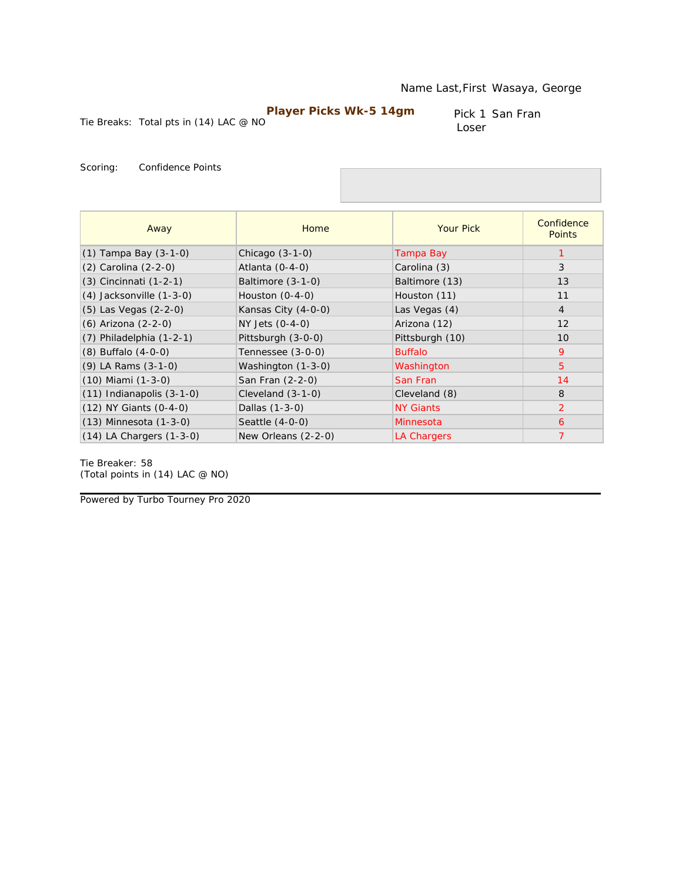Pick 1 San Fran Loser

Tie Breaks: Total pts in (14) LAC @ NO

Scoring: Confidence Points

| Away                          | Home                | <b>Your Pick</b> | Confidence<br><b>Points</b> |
|-------------------------------|---------------------|------------------|-----------------------------|
| $(1)$ Tampa Bay $(3-1-0)$     | Chicago $(3-1-0)$   | Tampa Bay        |                             |
| $(2)$ Carolina $(2-2-0)$      | Atlanta $(0-4-0)$   | Carolina (3)     | 3                           |
| $(3)$ Cincinnati $(1-2-1)$    | Baltimore (3-1-0)   | Baltimore (13)   | 13                          |
| $(4)$ Jacksonville $(1-3-0)$  | Houston $(0-4-0)$   | Houston (11)     | 11                          |
| $(5)$ Las Vegas $(2-2-0)$     | Kansas City (4-0-0) | Las Vegas (4)    | $\overline{4}$              |
| (6) Arizona (2-2-0)           | NY Jets (0-4-0)     | Arizona (12)     | 12                          |
| $(7)$ Philadelphia $(1-2-1)$  | Pittsburgh (3-0-0)  | Pittsburgh (10)  | 10                          |
| $(8)$ Buffalo $(4-0-0)$       | Tennessee (3-0-0)   | <b>Buffalo</b>   | 9                           |
| $(9)$ LA Rams $(3-1-0)$       | Washington (1-3-0)  | Washington       | $\overline{5}$              |
| $(10)$ Miami $(1-3-0)$        | San Fran (2-2-0)    | San Fran         | 14                          |
| $(11)$ Indianapolis $(3-1-0)$ | Cleveland $(3-1-0)$ | Cleveland (8)    | 8                           |
| $(12)$ NY Giants $(0-4-0)$    | Dallas (1-3-0)      | <b>NY Giants</b> | 2                           |
| $(13)$ Minnesota $(1-3-0)$    | Seattle (4-0-0)     | Minnesota        | 6                           |
| $(14)$ LA Chargers $(1-3-0)$  | New Orleans (2-2-0) | LA Chargers      | $\overline{7}$              |

Tie Breaker: 58 *(Total points in (14) LAC @ NO)*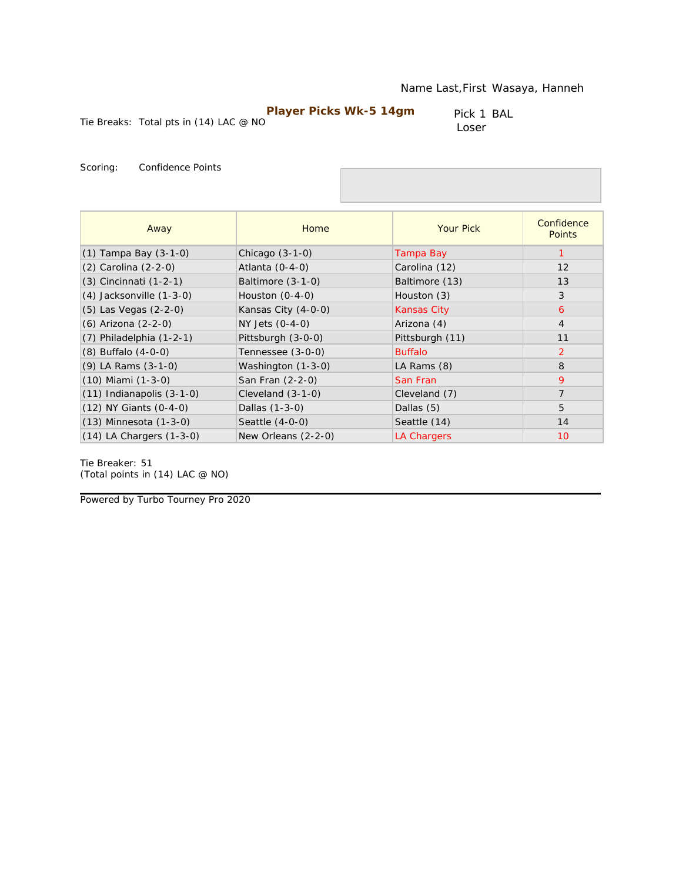Tie Breaks: Total pts in (14) LAC @ NO

Pick 1 BAL Loser

Scoring: Confidence Points

| Away                          | Home                | <b>Your Pick</b>   | Confidence<br><b>Points</b> |
|-------------------------------|---------------------|--------------------|-----------------------------|
| $(1)$ Tampa Bay $(3-1-0)$     | Chicago $(3-1-0)$   | Tampa Bay          |                             |
| (2) Carolina (2-2-0)          | Atlanta $(0-4-0)$   | Carolina (12)      | 12                          |
| (3) Cincinnati (1-2-1)        | Baltimore $(3-1-0)$ | Baltimore (13)     | 13                          |
| $(4)$ Jacksonville $(1-3-0)$  | Houston $(0-4-0)$   | Houston (3)        | 3                           |
| $(5)$ Las Vegas $(2-2-0)$     | Kansas City (4-0-0) | <b>Kansas City</b> | 6                           |
| (6) Arizona (2-2-0)           | NY Jets (0-4-0)     | Arizona (4)        | $\overline{4}$              |
| $(7)$ Philadelphia $(1-2-1)$  | Pittsburgh (3-0-0)  | Pittsburgh (11)    | 11                          |
| $(8)$ Buffalo $(4-0-0)$       | Tennessee (3-0-0)   | <b>Buffalo</b>     | 2                           |
| $(9)$ LA Rams $(3-1-0)$       | Washington (1-3-0)  | LA Rams (8)        | 8                           |
| $(10)$ Miami $(1-3-0)$        | San Fran (2-2-0)    | San Fran           | 9                           |
| $(11)$ Indianapolis $(3-1-0)$ | Cleveland (3-1-0)   | Cleveland (7)      | $\overline{7}$              |
| (12) NY Giants (0-4-0)        | Dallas (1-3-0)      | Dallas (5)         | 5                           |
| $(13)$ Minnesota $(1-3-0)$    | Seattle $(4-0-0)$   | Seattle (14)       | 14                          |
| $(14)$ LA Chargers $(1-3-0)$  | New Orleans (2-2-0) | LA Chargers        | 10                          |

Tie Breaker: 51 *(Total points in (14) LAC @ NO)*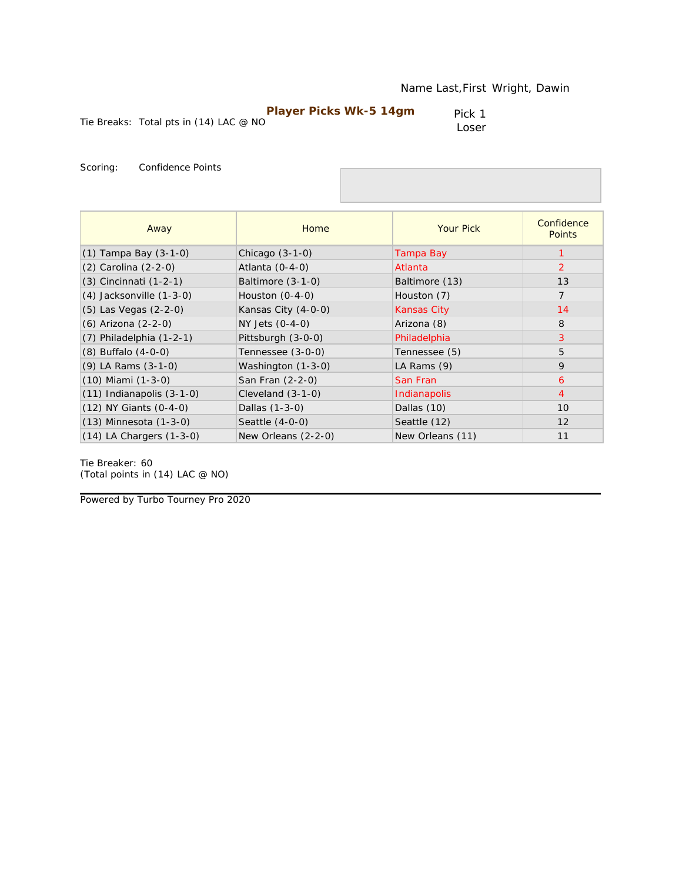|                                          | Player Picks Wk-5 14gm | Pick 1 |
|------------------------------------------|------------------------|--------|
| Tie Breaks: Total pts in $(14)$ LAC @ NO |                        | Loser  |

| Away                          | Home                | <b>Your Pick</b>   | Confidence<br><b>Points</b> |
|-------------------------------|---------------------|--------------------|-----------------------------|
| $(1)$ Tampa Bay $(3-1-0)$     | Chicago $(3-1-0)$   | Tampa Bay          |                             |
| (2) Carolina (2-2-0)          | Atlanta $(0-4-0)$   | Atlanta            | 2                           |
| $(3)$ Cincinnati $(1-2-1)$    | Baltimore (3-1-0)   | Baltimore (13)     | 13                          |
| $(4)$ Jacksonville $(1-3-0)$  | Houston $(0-4-0)$   | Houston (7)        | $\overline{7}$              |
| (5) Las Vegas (2-2-0)         | Kansas City (4-0-0) | <b>Kansas City</b> | 14                          |
| (6) Arizona (2-2-0)           | NY Jets (0-4-0)     | Arizona (8)        | 8                           |
| $(7)$ Philadelphia $(1-2-1)$  | Pittsburgh (3-0-0)  | Philadelphia       | 3                           |
| $(8)$ Buffalo $(4-0-0)$       | Tennessee (3-0-0)   | Tennessee (5)      | 5                           |
| (9) LA Rams (3-1-0)           | Washington (1-3-0)  | LA Rams (9)        | 9                           |
| $(10)$ Miami $(1-3-0)$        | San Fran (2-2-0)    | San Fran           | 6                           |
| $(11)$ Indianapolis $(3-1-0)$ | Cleveland $(3-1-0)$ | Indianapolis       | $\overline{4}$              |
| $(12)$ NY Giants $(0-4-0)$    | Dallas (1-3-0)      | Dallas (10)        | 10                          |
| $(13)$ Minnesota $(1-3-0)$    | Seattle (4-0-0)     | Seattle (12)       | 12                          |
| $(14)$ LA Chargers $(1-3-0)$  | New Orleans (2-2-0) | New Orleans (11)   | 11                          |

Tie Breaker: 60 *(Total points in (14) LAC @ NO)*